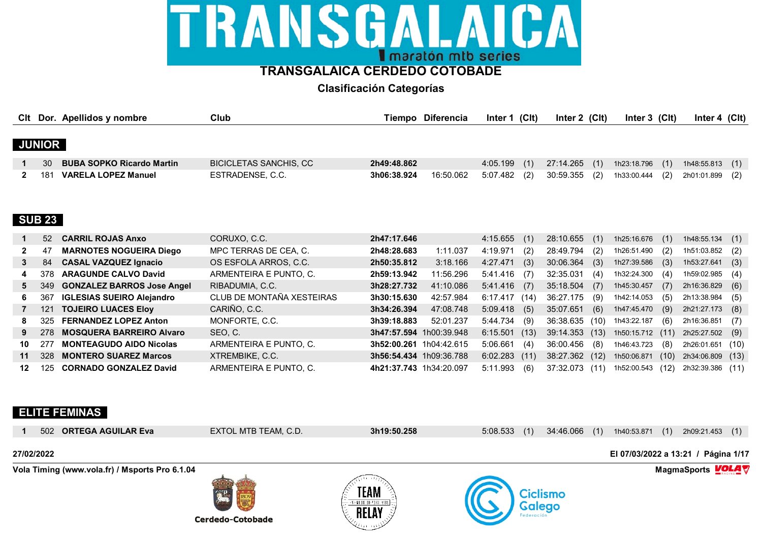# LAICA TRANSGAL I maratón mtb series

## **TRANSGALAICA CERDEDO COTOBADE**

**Clasificación Categorías**

|              |               | Clt Dor. Apellidos y nombre       | Club                          |                         | Tiempo Diferencia | Inter 1 (Clt) |      | Inter 2 (Clt) |      | Inter $3$ (Clt) |      | Inter 4 $(Clt)$ |      |
|--------------|---------------|-----------------------------------|-------------------------------|-------------------------|-------------------|---------------|------|---------------|------|-----------------|------|-----------------|------|
|              |               |                                   |                               |                         |                   |               |      |               |      |                 |      |                 |      |
|              | <b>JUNIOR</b> |                                   |                               |                         |                   |               |      |               |      |                 |      |                 |      |
|              | 30            | <b>BUBA SOPKO Ricardo Martin</b>  | <b>BICICLETAS SANCHIS, CC</b> | 2h49:48.862             |                   | 4:05.199      | (1)  | 27:14.265     | (1)  | 1h23:18.796     | (1)  | 1h48:55.813     | (1)  |
| 2            | 181           | <b>VARELA LOPEZ Manuel</b>        | ESTRADENSE, C.C.              | 3h06:38.924             | 16:50.062         | 5:07.482      | (2)  | 30:59.355     | (2)  | 1h33:00.444     | (2)  | 2h01:01.899     | (2)  |
|              |               |                                   |                               |                         |                   |               |      |               |      |                 |      |                 |      |
|              |               |                                   |                               |                         |                   |               |      |               |      |                 |      |                 |      |
|              | <b>SUB 23</b> |                                   |                               |                         |                   |               |      |               |      |                 |      |                 |      |
|              |               |                                   |                               |                         |                   |               |      |               |      |                 |      |                 |      |
|              | 52            | <b>CARRIL ROJAS Anxo</b>          | CORUXO, C.C.                  | 2h47:17.646             |                   | 4:15.655      | (1)  | 28:10.655     | (1)  | 1h25:16.676     | (1)  | 1h48:55.134     | (1)  |
| $\mathbf{2}$ | 47            | <b>MARNOTES NOGUEIRA Diego</b>    | MPC TERRAS DE CEA, C.         | 2h48:28.683             | 1:11.037          | 4:19.971      | (2)  | 28:49.794     | (2)  | 1h26:51.490     | (2)  | 1h51:03.852     | (2)  |
| 3            | 84            | <b>CASAL VAZQUEZ Ignacio</b>      | OS ESFOLA ARROS, C.C.         | 2h50:35.812             | 3:18.166          | 4:27.471      | (3)  | 30:06.364     | (3)  | 1h27:39.586     | (3)  | 1h53:27.641     | (3)  |
| 4            | 378           | <b>ARAGUNDE CALVO David</b>       | ARMENTEIRA E PUNTO, C.        | 2h59:13.942             | 11:56.296         | 5:41.416      | (7)  | 32:35.031     | (4)  | 1h32:24.300     | (4)  | 1h59:02.985     | (4)  |
| 5.           | 349           | <b>GONZALEZ BARROS Jose Angel</b> | RIBADUMIA, C.C.               | 3h28:27.732             | 41:10.086         | 5:41.416      | (7)  | 35:18.504     | (7)  | 1h45:30.457     | (    | 2h16:36.829     | (6)  |
| 6.           | 367           | <b>IGLESIAS SUEIRO Alejandro</b>  | CLUB DE MONTAÑA XESTEIRAS     | 3h30:15.630             | 42:57.984         | 6:17.417(14)  |      | 36:27.175     | (9)  | 1h42:14.053     | (5)  | 2h13:38.984     | (5)  |
| $7^{\circ}$  | 121           | <b>TOJEIRO LUACES Eloy</b>        | CARIÑO, C.C.                  | 3h34:26.394             | 47:08.748         | 5:09.418      | (5)  | 35:07.651     | (6)  | 1h47:45.470     | (9)  | 2h21:27.173     | (8)  |
| 8            | 325           | <b>FERNANDEZ LOPEZ Anton</b>      | MONFORTE, C.C.                | 3h39:18.883             | 52:01.237         | 5:44.734      | (9)  | 36:38.635     | (10) | 1h43:22.187     | (6)  | 2h16:36.851     | (7)  |
| 9            | 278           | <b>MOSQUERA BARREIRO Alvaro</b>   | SEO, C.                       | 3h47:57.594             | 1h00:39.948       | 6:15.501      | (13) | 39:14.353     | (13) | 1h50:15.712     | (11) | 2h25:27.502     | (9)  |
| 10           | 277           | <b>MONTEAGUDO AIDO Nicolas</b>    | ARMENTEIRA E PUNTO, C.        | 3h52:00.261 1h04:42.615 |                   | 5:06.661      | (4)  | 36:00.456     | (8)  | 1h46:43.723     | (8)  | 2h26:01.651     | (10) |
| 11           | 328           | <b>MONTERO SUAREZ Marcos</b>      | XTREMBIKE, C.C.               | 3h56:54.434 1h09:36.788 |                   | 6:02.283      | (11) | 38:27.362     | (12) | 1h50:06.871     | (10) | 2h34:06.809     | (13) |
| 12           | 125           | <b>CORNADO GONZALEZ David</b>     | ARMENTEIRA E PUNTO, C.        | 4h21:37.743 1h34:20.097 |                   | 5:11.993      | (6)  | 37:32.073     | (11) | 1h52:00.543     | (12) | 2h32:39.386     | (11) |
|              |               |                                   |                               |                         |                   |               |      |               |      |                 |      |                 |      |

### **ELITE FEMINAS**

**Vola Timing (www.vola.fr) / Msports Pro 6.1.04 MagmaSports VOLA**  $\mathbf{\nabla}$ **27/02/2022 El 07/03/2022 a 13:21 / Página 1/17 1** 502 **ORTEGA AGUILAR Eva** EXTOL MTB TEAM, C.D. **3h19:50.258** 5:08.533 (1) 34:46.066 (1) 1h40:53.871 (1) 2h09:21.453 (1)





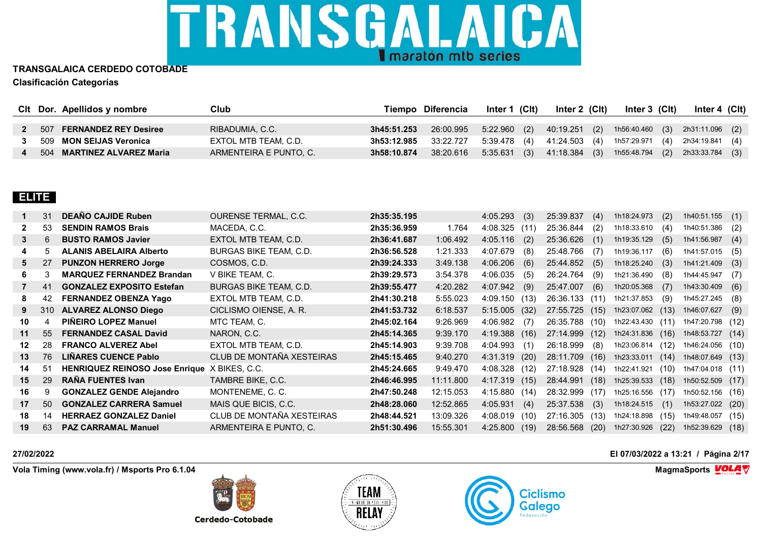

|  | Cit Dor. Apellidos y nombre | Club                   |             | Tiempo Diferencia | Inter 1 (CIt) | Inter 2 (CIt) | Inter 3 (Clt) | Inter 4 (CIt)                                              |  |
|--|-----------------------------|------------------------|-------------|-------------------|---------------|---------------|---------------|------------------------------------------------------------|--|
|  |                             |                        |             |                   |               |               |               |                                                            |  |
|  | 507 FERNANDEZ REY Desiree   | RIBADUMIA, C.C.        | 3h45:51.253 | 26:00.995         | 5:22.960 (2)  |               |               | 40:19.251 (2) 1h56:40.460 (3) 2h31:11.096 (2)              |  |
|  | 509 MON SEIJAS Veronica     | EXTOL MTB TEAM, C.D.   | 3h53:12.985 | 33:22.727         |               |               |               | 5:39.478 (4) 41:24.503 (4) 1h57:29.971 (4) 2h34:19.841 (4) |  |
|  | 504 MARTINEZ ALVAREZ Maria  | ARMENTEIRA E PUNTO, C. | 3h58:10.874 | 38:20.616         |               |               |               | 5:35.631 (3) 41:18.384 (3) 1h55:48.794 (2) 2h33:33.784 (3) |  |

### **ELITE**

|              | 31  | <b>DEANO CAJIDE Ruben</b>                           | <b>OURENSE TERMAL, C.C.</b>   | 2h35:35.195 |           | 4:05.293        | (3)  | 25:39.837      | (4)  | 1h18:24.973                | (2)  | 1h40:51.155      | (1)  |
|--------------|-----|-----------------------------------------------------|-------------------------------|-------------|-----------|-----------------|------|----------------|------|----------------------------|------|------------------|------|
| $\mathbf{2}$ | 53  | <b>SENDIN RAMOS Brais</b>                           | MACEDA, C.C.                  | 2h35:36.959 | 1.764     | 4:08.325        | (11) | 25:36.844      | (2)  | 1h18:33.610                | (4)  | 1h40:51.386      | (2)  |
| 3            | 6   | <b>BUSTO RAMOS Javier</b>                           | EXTOL MTB TEAM, C.D.          | 2h36:41.687 | 1:06.492  | 4:05.116        | (2)  | 25:36.626      | (1)  | 1h19:35.129                | (5)  | 1h41:56.987      | (4)  |
|              | 5   | <b>ALANIS ABELAIRA Alberto</b>                      | BURGAS BIKE TEAM, C.D.        | 2h36:56.528 | 1:21.333  | 4:07.679        | (8)  | 25:48.766      | (7)  | 1h19:36.117                | (6)  | 1h41:57.015      | (5)  |
| 5            | 27  | <b>PUNZON HERRERO Jorge</b>                         | COSMOS, C.D.                  | 2h39:24.333 | 3:49.138  | $4:06.206$ (6)  |      | 25:44.852      | (5)  | 1h18:25.240                | (3)  | 1h41:21.409      | (3)  |
| 6.           | 3   | <b>MARQUEZ FERNANDEZ Brandan</b>                    | V BIKE TEAM, C.               | 2h39:29.573 | 3:54.378  | $4:06.035$ (5)  |      | 26:24.764      | (9)  | 1h21:36.490                | (8)  | 1h44:45.947      | (7)  |
|              | 41  | <b>GONZALEZ EXPOSITO Estefan</b>                    | <b>BURGAS BIKE TEAM, C.D.</b> | 2h39:55.477 | 4:20.282  | $4:07.942$ (9)  |      | 25:47.007      | (6)  | 1h20:05.368                | (7)  | 1h43:30.409      | (6)  |
| 8            | 42  | <b>FERNANDEZ OBENZA Yago</b>                        | EXTOL MTB TEAM, C.D.          | 2h41:30.218 | 5:55.023  | 4:09.150(13)    |      | 26:36.133 (11) |      | 1h21:37.853                | (9)  | 1h45:27.245      | (8)  |
| 9            | 310 | <b>ALVAREZ ALONSO Diego</b>                         | CICLISMO OIENSE, A. R.        | 2h41:53.732 | 6:18.537  | $5:15.005$ (32) |      | 27:55.725 (15) |      | 1h23:07.062                | (13) | 1h46:07.627      | (9)  |
| 10           | 4   | PIÑEIRO LOPEZ Manuel                                | MTC TEAM, C.                  | 2h45:02.164 | 9:26.969  | 4:06.982        | (7)  | 26:35.788 (10) |      | 1h22:43.430 (11)           |      | 1h47:20.798 (12) |      |
| 11           | 55  | <b>FERNANDEZ CASAL David</b>                        | NARON, C.C.                   | 2h45:14.365 | 9:39.170  | 4:19.388(16)    |      | 27:14.999      | (12) | 1h24:31.836                | (16) | 1h48:53.727      | (14) |
| 12           | 28  | <b>FRANCO ALVEREZ Abel</b>                          | EXTOL MTB TEAM, C.D.          | 2h45:14.903 | 9:39.708  | 4:04.993        | (1)  | 26:18.999      | (8)  | 1h23:06.814                | (12) | 1h46:24.056      | (10) |
| 13           | 76  | <b>LIÑARES CUENCE Pablo</b>                         | CLUB DE MONTAÑA XESTEIRAS     | 2h45:15.465 | 9:40.270  | 4:31.319        | (20) | 28:11.709      | (16) | 1h23:33.011                | (14) | 1h48:07.649 (13) |      |
| 14           | 51  | <b>HENRIQUEZ REINOSO Jose Enrique X BIKES, C.C.</b> |                               | 2h45:24.665 | 9:49.470  | $4:08.328$ (12) |      | 27:18.928 (14) |      | 1h22:41.921                | (10) | 1h47:04.018 (11) |      |
| 15           | 29  | <b>RANA FUENTES Ivan</b>                            | TAMBRE BIKE, C.C.             | 2h46:46.995 | 11:11.800 | 4:17.319        | (15) | 28:44.991      | (18) | 1h25:39.533                | (18) | 1h50:52.509      | (17) |
| 16           | 9   | <b>GONZALEZ GENDE Alejandro</b>                     | MONTENEME, C. C.              | 2h47:50.248 | 12:15.053 | 4:15.880(14)    |      | 28:32.999      | (17) | 1h25:16.556                | (17) | 1h50:52.156      | (16) |
| 17           | 50  | <b>GONZALEZ CARRERA Samuel</b>                      | MAIS QUE BICIS, C.C.          | 2h48:28.060 | 12:52.865 | 4:05.931        | (4)  | 25:37.538      | (3)  | 1h18:24.515                | (1)  | 1h53:27.022      | (20) |
| 18           | 14  | <b>HERRAEZ GONZALEZ Daniel</b>                      | CLUB DE MONTAÑA XESTEIRAS     | 2h48:44.521 | 13:09.326 | 4:08.019        | (10) | 27:16.305      | (13) | 1h24:18.898                | (15) | 1h49:48.057      | (15) |
| 19           | 63  | <b>PAZ CARRAMAL Manuel</b>                          | ARMENTEIRA E PUNTO, C.        | 2h51:30.496 | 15:55.301 | $4:25.800$ (19) |      |                |      | 28:56.568 (20) 1h27:30.926 | (22) | 1h52:39.629 (18) |      |

**Vola Timing (www.vola.fr) / Msports Pro 6.1.04 MagmaSports VOLA**  $\mathbf{\nabla}$ 

**Cerdedo-Cotobade** 





**27/02/2022 El 07/03/2022 a 13:21 / Página 2/17**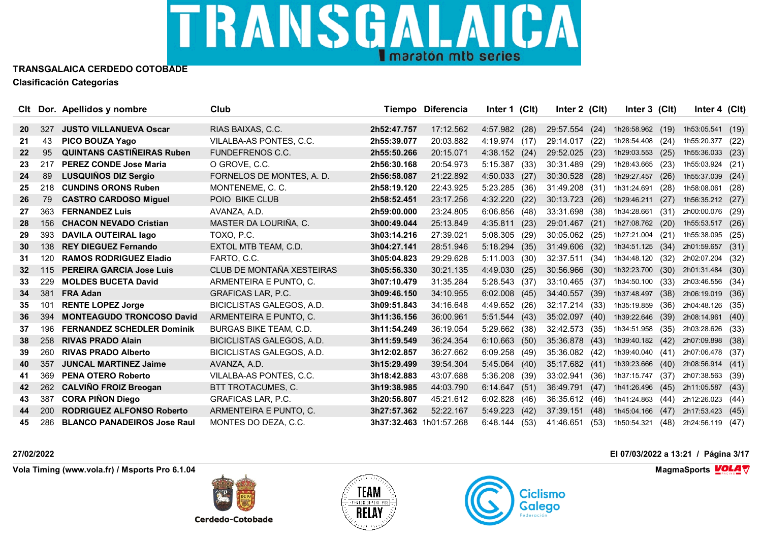

| Clt             |     | Dor. Apellidos y nombre            | Club                             |                         | Tiempo Diferencia | Inter 1 (Clt)    | Inter 2 (Clt)  |      | Inter 3 (Clt)    |      | Inter 4 (Clt)    |      |
|-----------------|-----|------------------------------------|----------------------------------|-------------------------|-------------------|------------------|----------------|------|------------------|------|------------------|------|
|                 |     |                                    |                                  |                         |                   |                  |                |      |                  |      |                  |      |
| <b>20</b>       | 327 | <b>JUSTO VILLANUEVA Oscar</b>      | RIAS BAIXAS, C.C.                | 2h52:47.757             | 17:12.562         | 4:57.982<br>(28) | 29:57.554      | (24) | 1h26:58.962 (19) |      | 1h53:05.541      | (19) |
| 21              | 43  | PICO BOUZA Yago                    | VILALBA-AS PONTES, C.C.          | 2h55:39.077             | 20:03.882         | $4:19.974$ (17)  | 29:14.017      | (22) | 1h28:54.408      | (24) | 1h55:20.377      | (22) |
| 22              | 95  | <b>QUINTANS CASTINEIRAS Ruben</b>  | <b>FUNDEFRENOS C.C.</b>          | 2h55:50.266             | 20:15.071         | 4:38.152 (24)    | 29:52.025      | (23) | 1h29:03.553      | (25) | 1h55:36.033      | (23) |
| 23              | 217 | <b>PEREZ CONDE Jose Maria</b>      | O GROVE, C.C.                    | 2h56:30.168             | 20:54.973         | 5:15.387<br>(33) | 30:31.489      | (29) | 1h28:43.665      | (23) | 1h55:03.924      | (21) |
| 24              | 89  | LUSQUIÑOS DIZ Sergio               | FORNELOS DE MONTES, A. D.        | 2h56:58.087             | 21:22.892         | 4:50.033<br>(27) | 30:30.528      | (28) | 1h29:27.457      | (26) | 1h55:37.039      | (24) |
| 25              | 218 | <b>CUNDINS ORONS Ruben</b>         | MONTENEME, C. C.                 | 2h58:19.120             | 22:43.925         | 5:23.285<br>(36) | 31:49.208      | (31) | 1h31:24.691      | (28) | 1h58:08.061      | (28) |
| 26              | 79  | <b>CASTRO CARDOSO Miguel</b>       | POIO BIKE CLUB                   | 2h58:52.451             | 23:17.256         | 4:32.220<br>(22) | 30:13.723      | (26) | 1h29:46.211      | (27) | 1h56:35.212      | (27) |
| 27              | 363 | <b>FERNANDEZ Luis</b>              | AVANZA, A.D.                     | 2h59:00.000             | 23:24.805         | 6:06.856(48)     | 33:31.698      | (38) | 1h34:28.661      | (31) | 2h00:00.076      | (29) |
| 28              | 156 | <b>CHACON NEVADO Cristian</b>      | MASTER DA LOURIÑA, C.            | 3h00:49.044             | 25:13.849         | 4:35.811<br>(23) | 29:01.467      | (21) | 1h27:08.762      | (20) | 1h55:53.517      | (26) |
| 29              | 393 | <b>DAVILA OUTEIRAL lago</b>        | TOXO, P.C.                       | 3h03:14.216             | 27:39.021         | $5:08.305$ (29)  | 30:05.062      | (25) | 1h27:21.004      | (21) | 1h55:38.095      | (25) |
| 30              | 138 | <b>REY DIEGUEZ Fernando</b>        | EXTOL MTB TEAM, C.D.             | 3h04:27.141             | 28:51.946         | $5:18.294$ (35)  | 31:49.606      | (32) | 1h34:51.125      | (34) | 2h01:59.657      | (31) |
| 31              | 120 | <b>RAMOS RODRIGUEZ Eladio</b>      | FARTO, C.C.                      | 3h05:04.823             | 29:29.628         | $5:11.003$ (30)  | 32:37.511      | (34) | 1h34:48.120      | (32) | 2h02:07.204      | (32) |
| 32 <sub>2</sub> | 115 | <b>PEREIRA GARCIA Jose Luis</b>    | CLUB DE MONTAÑA XESTEIRAS        | 3h05:56.330             | 30:21.135         | 4:49.030<br>(25) | 30:56.966      | (30) | 1h32:23.700      | (30) | 2h01:31.484      | (30) |
| 33              | 229 | <b>MOLDES BUCETA David</b>         | ARMENTEIRA E PUNTO. C.           | 3h07:10.479             | 31:35.284         | 5:28.543 (37)    | 33:10.465      | (37) | 1h34:50.100      | (33) | 2h03:46.556 (34) |      |
| 34              | 381 | <b>FRA Adan</b>                    | <b>GRAFICAS LAR, P.C.</b>        | 3h09:46.150             | 34:10.955         | 6:02.008<br>(45) | 34:40.557      | (39) | 1h37:48.497      | (38) | 2h06:19.019      | (36) |
| 35              | 101 | <b>RENTE LOPEZ Jorge</b>           | BICICLISTAS GALEGOS, A.D.        | 3h09:51.843             | 34:16.648         | 4:49.652 (26)    | 32:17.214      | (33) | 1h35:19.859      | (36) | 2h04:48.126      | (35) |
| 36              | 394 | <b>MONTEAGUDO TRONCOSO David</b>   | ARMENTEIRA E PUNTO, C.           | 3h11:36.156             | 36:00.961         | $5:51.544$ (43)  | 35:02.097      | (40) | 1h39:22.646      | (39) | 2h08:14.961      | (40) |
| 37              | 196 | <b>FERNANDEZ SCHEDLER Dominik</b>  | BURGAS BIKE TEAM, C.D.           | 3h11:54.249             | 36:19.054         | 5:29.662 (38)    | 32:42.573 (35) |      | 1h34:51.958      | (35) | 2h03:28.626      | (33) |
| 38              | 258 | <b>RIVAS PRADO Alain</b>           | BICICLISTAS GALEGOS, A.D.        | 3h11:59.549             | 36:24.354         | 6:10.663(50)     | 35:36.878 (43) |      | 1h39:40.182 (42) |      | 2h07:09.898      | (38) |
| 39              | 260 | <b>RIVAS PRADO Alberto</b>         | <b>BICICLISTAS GALEGOS, A.D.</b> | 3h12:02.857             | 36:27.662         | 6:09.258<br>(49) | 35:36.082      | (42) | 1h39:40.040      | (41) | 2h07:06.478      | (37) |
| 40              | 357 | <b>JUNCAL MARTINEZ Jaime</b>       | AVANZA, A.D.                     | 3h15:29.499             | 39:54.304         | 5:45.064(40)     | 35:17.682 (41) |      | 1h39:23.666      | (40) | 2h08:56.914      | (41) |
| 41              | 369 | <b>PENA OTERO Roberto</b>          | VILALBA-AS PONTES, C.C.          | 3h18:42.883             | 43:07.688         | $5:36.208$ (39)  | 33:02.941      | (36) | 1h37:15.747      | (37) | 2h07:38.563      | (39) |
| 42              | 262 | <b>CALVIÑO FROIZ Breogan</b>       | BTT TROTACUMES, C.               | 3h19:38.985             | 44:03.790         | 6:14.647<br>(51) | 36:49.791      | (47) | 1h41:26.496      | (45) | 2h11:05.587      | (43) |
| 43              | 387 | <b>CORA PIÑON Diego</b>            | <b>GRAFICAS LAR, P.C.</b>        | 3h20:56.807             | 45:21.612         | 6:02.828<br>(46) | 36:35.612      | (46) | 1h41:24.863      | (44) | 2h12:26.023      | (44) |
| 44              | 200 | <b>RODRIGUEZ ALFONSO Roberto</b>   | ARMENTEIRA E PUNTO, C.           | 3h27:57.362             | 52:22.167         | 5:49.223<br>(42) | 37:39.151      | (48) | 1h45:04.166      | (47) | 2h17:53.423      | (45) |
| 45              | 286 | <b>BLANCO PANADEIROS Jose Raul</b> | MONTES DO DEZA, C.C.             | 3h37:32.463 1h01:57.268 |                   | 6:48.144<br>(53) | 41:46.651      | (53) | 1h50:54.321      | (48) | 2h24:56.119      | (47) |

**Vola Timing (www.vola.fr) / Msports Pro 6.1.04 MagmaSports VOLA**  $\mathbf{\nabla}$ 



**Cerdedo-Cotobade** 



**27/02/2022 El 07/03/2022 a 13:21 / Página 3/17**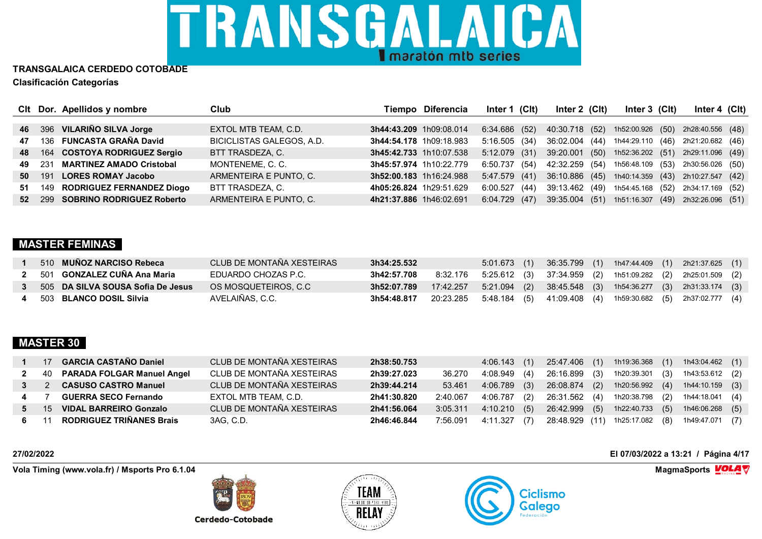

|    |       | CIt Dor. Apellidos y nombre      | Club                             |                         | Tiempo Diferencia | Inter 1 (CIt)   |                | Inter $2$ (Clt) | Inter $3$ (CIt)  | Inter 4 $(Clt)$                                  |  |
|----|-------|----------------------------------|----------------------------------|-------------------------|-------------------|-----------------|----------------|-----------------|------------------|--------------------------------------------------|--|
|    |       |                                  |                                  |                         |                   |                 |                |                 |                  |                                                  |  |
| 46 |       | 396 VILARIÑO SILVA Jorge         | EXTOL MTB TEAM, C.D.             | 3h44:43.209 1h09:08.014 |                   | 6:34.686 (52)   | 40:30.718 (52) |                 | 1h52:00.926 (50) | 2h28:40.556 (48)                                 |  |
| 47 |       | 136 FUNCASTA GRAÑA David         | <b>BICICLISTAS GALEGOS, A.D.</b> | 3h44:54.178 1h09:18.983 |                   | 5:16.505(34)    | 36:02.004 (44) |                 | 1h44:29.110 (46) | 2h21:20.682 (46)                                 |  |
|    |       | 48 164 COSTOYA RODRIGUEZ Sergio  | BTT TRASDEZA, C.                 | 3h45:42.733 1h10:07.538 |                   | $5:12.079$ (31) |                |                 |                  | 39:20.001 (50) 1h52:36.202 (51) 2h29:11.096 (49) |  |
| 49 | - 231 | <b>MARTINEZ AMADO Cristobal</b>  | MONTENEME, C. C.                 | 3h45:57.974 1h10:22.779 |                   | 6:50.737 (54)   | 42:32.259 (54) |                 |                  | 1h56:48.109 (53) 2h30:56.026 (50)                |  |
| 50 | 191   | <b>LORES ROMAY Jacobo</b>        | ARMENTEIRA E PUNTO, C.           | 3h52:00.183 1h16:24.988 |                   | 5:47.579(41)    | 36:10.886 (45) |                 |                  | 1h40:14.359 (43) 2h10:27.547 (42)                |  |
| 51 |       | 149 RODRIGUEZ FERNANDEZ Diogo    | BTT TRASDEZA, C.                 | 4h05:26.824 1h29:51.629 |                   | 6:00.527(44)    | 39:13.462 (49) |                 |                  | 1h54:45.168 (52) 2h34:17.169 (52)                |  |
|    |       | 52 299 SOBRINO RODRIGUEZ Roberto | ARMENTEIRA E PUNTO, C.           | 4h21:37.886 1h46:02.691 |                   | 6:04.729(47)    | 39:35.004 (51) |                 |                  | 1h51:16.307 (49) 2h32:26.096 (51)                |  |

### **MASTER FEMINAS**

| 510 MUÑOZ NARCISO Rebeca          | CLUB DE MONTAÑA XESTEIRAS | 3h34:25.532 |  |  | 5:01.673 (1) 36:35.799 (1) 1h47:44.409 (1) 2h21:37.625 (1)                              |
|-----------------------------------|---------------------------|-------------|--|--|-----------------------------------------------------------------------------------------|
| 501 GONZALEZ CUÑA Ana Maria       | EDUARDO CHOZAS P.C.       | 3h42:57.708 |  |  | 8:32.176 5:25.612 (3) 37:34.959 (2) 1h51:09.282 (2) 2h25:01.509 (2)                     |
| 505 DA SILVA SOUSA Sofia De Jesus | OS MOSQUETEIROS. C.C      |             |  |  | <b>3h52:07.789</b> 17:42.257 5:21.094 (2) 38:45.548 (3) 1h54:36.277 (3) 2h31:33.174 (3) |
| 503 BLANCO DOSIL Silvia           | AVELAIÑAS. C.C.           | 3h54:48.817 |  |  | 20:23.285 5:48.184 (5) 41:09.408 (4) 1h59:30.682 (5) 2h37:02.777 (4)                    |

### **MASTER 30**

|   | 17              | <b>GARCIA CASTAÑO Daniel</b>    | CLUB DE MONTAÑA XESTEIRAS | 2h38:50.753 |          | $4:06.143$ (1)            |               | 25:47.406 (1) 1h19:36.368 (1) 1h43:04.462 (1)  |
|---|-----------------|---------------------------------|---------------------------|-------------|----------|---------------------------|---------------|------------------------------------------------|
|   |                 | 40 PARADA FOLGAR Manuel Angel   | CLUB DE MONTAÑA XESTEIRAS | 2h39:27.023 | 36.270   | 4:08.949 (4)              | 26:16.899 (3) | 1h20:39.301 (3) 1h43:53.612 (2)                |
|   |                 | 3 2 CASUSO CASTRO Manuel        | CLUB DE MONTAÑA XESTEIRAS | 2h39:44.214 |          | 53.461  4:06.789  (3)     |               | 26:08.874 (2) 1h20:56.992 (4) 1h44:10.159 (3)  |
|   | 4 7             | <b>GUERRA SECO Fernando</b>     | EXTOL MTB TEAM, C.D.      | 2h41:30.820 |          | 2:40.067 4:06.787 (2)     |               | 26:31.562 (4) 1h20:38.798 (2) 1h44:18.041 (4)  |
| 5 | 15 <sup>2</sup> | <b>VIDAL BARREIRO Gonzalo</b>   | CLUB DE MONTAÑA XESTEIRAS | 2h41:56.064 | 3:05.311 | 4:10.210 (5)              |               | 26:42.999 (5) 1h22:40.733 (5) 1h46:06.268 (5)  |
|   | 6 11            | <b>RODRIGUEZ TRIÑANES Brais</b> | 3AG, C.D.                 | 2h46:46.844 |          | 7:56.091   4:11.327   (7) |               | 28:48.929 (11) 1h25:17.082 (8) 1h49:47.071 (7) |

**Vola Timing (www.vola.fr) / Msports Pro 6.1.04 MagmaSports VOLA**  $\mathbf{\nabla}$ 

Cerdedo-Cotobade





**27/02/2022 El 07/03/2022 a 13:21 / Página 4/17**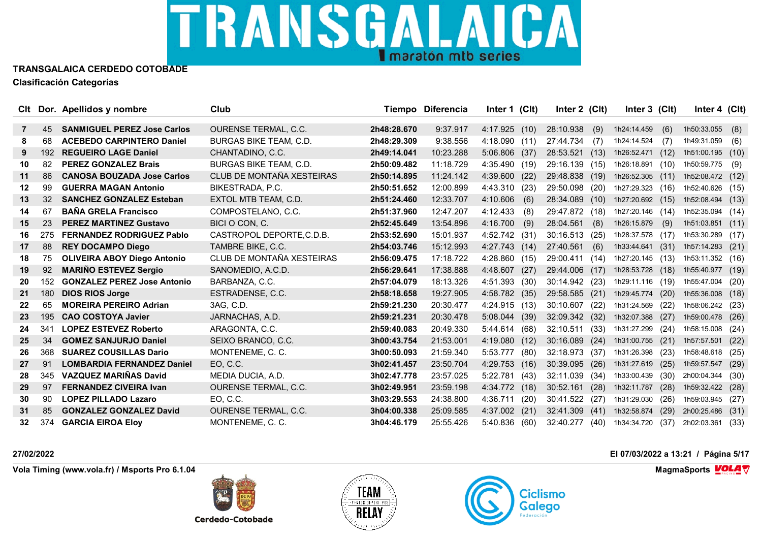

| Clt |     | Dor. Apellidos y nombre            | Club                          |             | Tiempo Diferencia | Inter 1 (Clt) |      | Inter 2 (Clt)  |      | Inter 3 (Clt)    |      | Inter 4 $(Clt)$  |      |
|-----|-----|------------------------------------|-------------------------------|-------------|-------------------|---------------|------|----------------|------|------------------|------|------------------|------|
|     |     |                                    |                               |             |                   |               |      |                |      |                  |      |                  |      |
| 7   | 45  | <b>SANMIGUEL PEREZ Jose Carlos</b> | <b>OURENSE TERMAL, C.C.</b>   | 2h48:28.670 | 9:37.917          | 4:17.925(10)  |      | 28:10.938      | (9)  | 1h24:14.459      | (6)  | 1h50:33.055      | (8)  |
| 8   | 68  | <b>ACEBEDO CARPINTERO Daniel</b>   | <b>BURGAS BIKE TEAM, C.D.</b> | 2h48:29.309 | 9:38.556          | 4:18.090(11)  |      | 27:44.734      | (7)  | 1h24:14.524      | (7)  | 1h49:31.059      | (6)  |
| 9   | 192 | <b>REGUEIRO LAGE Daniel</b>        | CHANTADINO, C.C.              | 2h49:14.041 | 10:23.288         | 5:06.806 (37) |      | 28:53.521      | (13) | 1h26:52.471      | (12) | 1h51:00.195      | (10) |
| 10  | 82  | <b>PEREZ GONZALEZ Brais</b>        | BURGAS BIKE TEAM, C.D.        | 2h50:09.482 | 11:18.729         | 4:35.490 (19) |      | 29:16.139      | (15) | 1h26:18.891      | (10) | 1h50:59.775      | (9)  |
| 11  | 86  | <b>CANOSA BOUZADA Jose Carlos</b>  | CLUB DE MONTAÑA XESTEIRAS     | 2h50:14.895 | 11:24.142         | 4:39.600 (22) |      | 29:48.838      | (19) | 1h26:52.305      | (11) | 1h52:08.472      | (12) |
| 12  | 99  | <b>GUERRA MAGAN Antonio</b>        | BIKESTRADA, P.C.              | 2h50:51.652 | 12:00.899         | 4:43.310      | (23) | 29:50.098      | (20) | 1h27:29.323      | (16) | 1h52:40.626      | (15) |
| 13  | 32  | <b>SANCHEZ GONZALEZ Esteban</b>    | EXTOL MTB TEAM, C.D.          | 2h51:24.460 | 12:33.707         | 4:10.606      | (6)  | 28:34.089      | (10) | 1h27:20.692 (15) |      | 1h52:08.494      | (13) |
| 14  | 67  | <b>BAÑA GRELA Francisco</b>        | COMPOSTELANO, C.C.            | 2h51:37.960 | 12:47.207         | 4:12.433      | (8)  | 29:47.872 (18) |      | 1h27:20.146 (14) |      | 1h52:35.094 (14) |      |
| 15  | 23  | <b>PEREZ MARTINEZ Gustavo</b>      | BICI O CON, C.                | 2h52:45.649 | 13:54.896         | 4:16.700      | (9)  | 28:04.561      | (8)  | 1h26:15.879      | (9)  | 1h51:03.851      | (11) |
| 16  | 275 | <b>FERNANDEZ RODRIGUEZ Pablo</b>   | CASTROPOL DEPORTE, C.D.B.     | 2h53:52.690 | 15:01.937         | 4:52.742 (31) |      | 30:16.513 (25) |      | 1h28:37.578 (17) |      | 1h53:30.289 (17) |      |
| 17  | 88  | <b>REY DOCAMPO Diego</b>           | TAMBRE BIKE, C.C.             | 2h54:03.746 | 15:12.993         | 4:27.743 (14) |      | 27:40.561      | (6)  | 1h33:44.641      | (31) | 1h57:14.283      | (21) |
| 18  | 75  | <b>OLIVEIRA ABOY Diego Antonio</b> | CLUB DE MONTAÑA XESTEIRAS     | 2h56:09.475 | 17:18.722         | 4:28.860      | (15) | 29:00.411      | (14) | 1h27:20.145      | (13) | 1h53:11.352 (16) |      |
| 19  | 92  | <b>MARIÑO ESTEVEZ Sergio</b>       | SANOMEDIO, A.C.D.             | 2h56:29.641 | 17:38.888         | 4:48.607      | (27) | 29:44.006      | (17) | 1h28:53.728      | (18) | 1h55:40.977      | (19) |
| 20  | 152 | <b>GONZALEZ PEREZ Jose Antonio</b> | BARBANZA, C.C.                | 2h57:04.079 | 18:13.326         | 4:51.393 (30) |      | 30:14.942      | (23) | 1h29:11.116      | (19) | 1h55:47.004      | (20) |
| 21  | 180 | <b>DIOS RIOS Jorge</b>             | ESTRADENSE, C.C.              | 2h58:18.658 | 19:27.905         | 4:58.782 (35) |      | 29:58.585      | (21) | 1h29:45.774      | (20) | 1h55:36.008      | (18) |
| 22  | 65  | <b>MOREIRA PEREIRO Adrian</b>      | 3AG, C.D.                     | 2h59:21.230 | 20:30.477         | 4:24.915 (13) |      | 30:10.607      | (22) | 1h31:24.569      | (22) | 1h58:06.242 (23) |      |
| 23  | 195 | <b>CAO COSTOYA Javier</b>          | JARNACHAS, A.D.               | 2h59:21.231 | 20:30.478         | 5:08.044 (39) |      | 32:09.342      | (32) | 1h32:07.388      | (27) | 1h59:00.478      | (26) |
| 24  | 341 | <b>LOPEZ ESTEVEZ Roberto</b>       | ARAGONTA, C.C.                | 2h59:40.083 | 20:49.330         | 5:44.614 (68) |      | 32:10.511      | (33) | 1h31:27.299      | (24) | 1h58:15.008      | (24) |
| 25  | 34  | <b>GOMEZ SANJURJO Daniel</b>       | SEIXO BRANCO, C.C.            | 3h00:43.754 | 21:53.001         | 4:19.080(12)  |      | 30:16.089      | (24) | 1h31:00.755      | (21) | 1h57:57.501      | (22) |
| 26  | 368 | <b>SUAREZ COUSILLAS Dario</b>      | MONTENEME, C. C.              | 3h00:50.093 | 21:59.340         | 5:53.777      | (80) | 32:18.973      | (37) | 1h31:26.398      | (23) | 1h58:48.618      | (25) |
| 27  | 91  | <b>LOMBARDIA FERNANDEZ Daniel</b>  | EO, C.C.                      | 3h02:41.457 | 23:50.704         | 4:29.753      | (16) | 30:39.095      | (26) | 1h31:27.619      | (25) | 1h59:57.547      | (29) |
| 28  | 345 | <b>VAZQUEZ MARIÑAS David</b>       | MEDIA DUCIA, A.D.             | 3h02:47.778 | 23:57.025         | 5:22.781 (43) |      | 32:11.039      | (34) | 1h33:00.439      | (30) | 2h00:04.344      | (30) |
| 29  | 97  | <b>FERNANDEZ CIVEIRA Ivan</b>      | <b>OURENSE TERMAL, C.C.</b>   | 3h02:49.951 | 23:59.198         | 4:34.772 (18) |      | 30:52.161      | (28) | 1h32:11.787      | (28) | 1h59:32.422      | (28) |
| 30  | 90  | <b>LOPEZ PILLADO Lazaro</b>        | EO, C.C.                      | 3h03:29.553 | 24:38.800         | 4:36.711      | (20) | 30:41.522      | (27) | 1h31:29.030      | (26) | 1h59:03.945      | (27) |
| 31  | 85  | <b>GONZALEZ GONZALEZ David</b>     | <b>OURENSE TERMAL, C.C.</b>   | 3h04:00.338 | 25:09.585         | 4:37.002      | (21) | 32:41.309      | (41) | 1h32:58.874      | (29) | 2h00:25.486      | (31) |
| 32  | 374 | <b>GARCIA EIROA Elov</b>           | MONTENEME, C. C.              | 3h04:46.179 | 25:55.426         | 5:40.836      | (60) | 32:40.277      | (40) | 1h34:34.720      | (37) | 2h02:03.361      | (33) |

**Vola Timing (www.vola.fr) / Msports Pro 6.1.04 MagmaSports VOLA**  $\mathbf{\nabla}$ 

**Cerdedo-Cotobade** 





**27/02/2022 El 07/03/2022 a 13:21 / Página 5/17**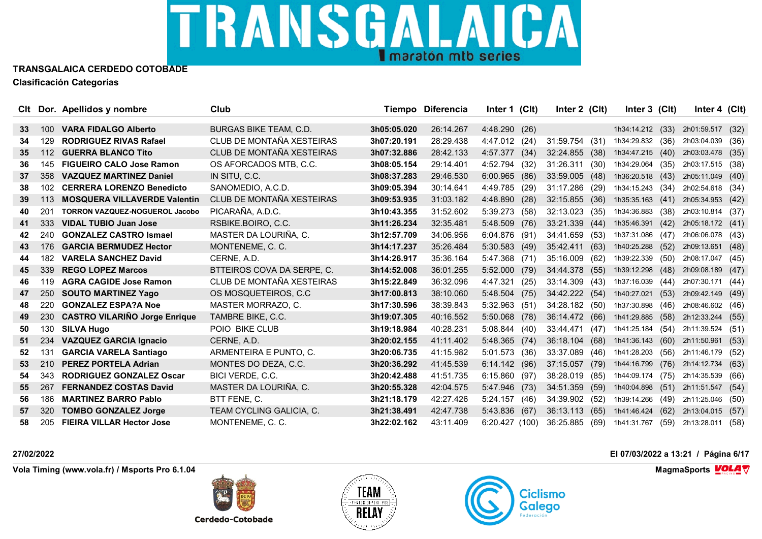

| Clt |     | Dor. Apellidos y nombre               | Club                          |             | Tiempo Diferencia | Inter 1 (Clt)    | Inter 2 (Clt) | Inter 3 (Clt)            |      | Inter 4 $(Clt)$  |      |
|-----|-----|---------------------------------------|-------------------------------|-------------|-------------------|------------------|---------------|--------------------------|------|------------------|------|
|     |     |                                       |                               |             |                   |                  |               |                          |      |                  |      |
| 33  | 100 | <b>VARA FIDALGO Alberto</b>           | <b>BURGAS BIKE TEAM, C.D.</b> | 3h05:05.020 | 26:14.267         | 4:48.290 (26)    |               | 1h34:14.212 (33)         |      | 2h01:59.517      | (32) |
| 34  | 129 | <b>RODRIGUEZ RIVAS Rafael</b>         | CLUB DE MONTAÑA XESTEIRAS     | 3h07:20.191 | 28:29.438         | 4:47.012 (24)    | 31:59.754     | (31)<br>1h34:29.832 (36) |      | 2h03:04.039      | (36) |
| 35  | 112 | <b>GUERRA BLANCO Tito</b>             | CLUB DE MONTAÑA XESTEIRAS     | 3h07:32.886 | 28:42.133         | 4:57.377<br>(34) | 32:24.855     | (38)<br>1h34:47.215      | (40) | 2h03:03.478      | (35) |
| 36  | 145 | <b>FIGUEIRO CALO Jose Ramon</b>       | OS AFORCADOS MTB. C.C.        | 3h08:05.154 | 29:14.401         | 4:52.794<br>(32) | 31:26.311     | (30)<br>1h34:29.064 (35) |      | 2h03:17.515 (38) |      |
| 37  | 358 | <b>VAZQUEZ MARTINEZ Daniel</b>        | IN SITU, C.C.                 | 3h08:37.283 | 29:46.530         | 6:00.965<br>(86) | 33:59.005     | (48)<br>1h36:20.518      | (43) | 2h05:11.049      | (40) |
| 38  | 102 | <b>CERRERA LORENZO Benedicto</b>      | SANOMEDIO, A.C.D.             | 3h09:05.394 | 30:14.641         | 4:49.785<br>(29) | 31:17.286     | (29)<br>1h34:15.243      | (34) | 2h02:54.618 (34) |      |
| 39  | 113 | <b>MOSQUERA VILLAVERDE Valentin</b>   | CLUB DE MONTAÑA XESTEIRAS     | 3h09:53.935 | 31:03.182         | 4:48.890<br>(28) | 32:15.855     | (36)<br>1h35:35.163      | (41) | 2h05:34.953      | (42) |
| 40  | 201 | <b>TORRON VAZQUEZ-NOGUEROL Jacobo</b> | PICARAÑA, A.D.C.              | 3h10:43.355 | 31:52.602         | $5:39.273$ (58)  | 32:13.023     | (35)<br>1h34:36.883      | (38) | 2h03:10.814 (37) |      |
| 41  | 333 | <b>VIDAL TUBIO Juan Jose</b>          | RSBIKE.BOIRO, C.C.            | 3h11:26.234 | 32:35.481         | 5:48.509<br>(76) | 33:21.339     | (44)<br>1h35:46.391      | (42) | 2h05:18.172 (41) |      |
| 42  | 240 | <b>GONZALEZ CASTRO Ismael</b>         | MASTER DA LOURIÑA, C.         | 3h12:57.709 | 34:06.956         | $6:04.876$ (91)  | 34:41.659     | (53)<br>1h37:31.086      | (47) | 2h06:06.078 (43) |      |
| 43  | 176 | <b>GARCIA BERMUDEZ Hector</b>         | MONTENEME, C. C.              | 3h14:17.237 | 35:26.484         | $5:30.583$ (49)  | 35:42.411     | (63)<br>1h40:25.288      | (52) | 2h09:13.651      | (48) |
| 44  | 182 | <b>VARELA SANCHEZ David</b>           | CERNE, A.D.                   | 3h14:26.917 | 35:36.164         | 5:47.368 (71)    | 35:16.009     | (62)<br>1h39:22.339      | (50) | 2h08:17.047 (45) |      |
| 45  | 339 | <b>REGO LOPEZ Marcos</b>              | BTTEIROS COVA DA SERPE. C.    | 3h14:52.008 | 36:01.255         | $5:52.000$ (79)  | 34:44.378     | (55)<br>1h39:12.298      | (48) | 2h09:08.189      | (47) |
| 46  | 119 | <b>AGRA CAGIDE Jose Ramon</b>         | CLUB DE MONTAÑA XESTEIRAS     | 3h15:22.849 | 36:32.096         | 4:47.321<br>(25) | 33:14.309     | (43)<br>1h37:16.039      | (44) | 2h07:30.171 (44) |      |
| 47  | 250 | <b>SOUTO MARTINEZ Yago</b>            | OS MOSQUETEIROS, C.C.         | 3h17:00.813 | 38:10.060         | 5:48.504<br>(75) | 34:42.222     | (54)<br>1h40:27.021      | (53) | 2h09:42.149      | (49) |
| 48  | 220 | <b>GONZALEZ ESPA?A Noe</b>            | MASTER MORRAZO. C.            | 3h17:30.596 | 38:39.843         | 5:32.963 (51)    | 34:28.182     | (50)<br>1h37:30.898      | (46) | 2h08:46.602 (46) |      |
| 49  | 230 | <b>CASTRO VILARIÑO Jorge Enrique</b>  | TAMBRE BIKE, C.C.             | 3h19:07.305 | 40:16.552         | 5:50.068 (78)    | 36:14.472     | (66)<br>1h41:29.885      | (58) | 2h12:33.244      | (55) |
| 50  | 130 | <b>SILVA Hugo</b>                     | POIO BIKE CLUB                | 3h19:18.984 | 40:28.231         | 5:08.844(40)     | 33:44.471     | (47)<br>1h41:25.184      | (54) | 2h11:39.524      | (51) |
| 51  | 234 | <b>VAZQUEZ GARCIA Ignacio</b>         | CERNE, A.D.                   | 3h20:02.155 | 41:11.402         | $5:48.365$ (74)  | 36:18.104     | (68)<br>1h41:36.143      | (60) | 2h11:50.961      | (53) |
| 52  | 131 | <b>GARCIA VARELA Santiago</b>         | ARMENTEIRA E PUNTO, C.        | 3h20:06.735 | 41:15.982         | 5:01.573<br>(36) | 33:37.089     | (46)<br>1h41:28.203      | (56) | 2h11:46.179      | (52) |
| 53  | 210 | <b>PEREZ PORTELA Adrian</b>           | MONTES DO DEZA, C.C.          | 3h20:36.292 | 41:45.539         | 6:14.142(96)     | 37:15.057     | (79)<br>1h44:16.799      | (76) | 2h14:12.734      | (63) |
| 54  | 343 | <b>RODRIGUEZ GONZALEZ Oscar</b>       | BICI VERDE, C.C.              | 3h20:42.488 | 41:51.735         | 6:15.860 (97)    | 38:28.019     | (85)<br>1h44:09.174      | (75) | 2h14:35.539      | (66) |
| 55  | 267 | <b>FERNANDEZ COSTAS David</b>         | MASTER DA LOURIÑA, C.         | 3h20:55.328 | 42:04.575         | 5:47.946<br>(73) | 34:51.359     | (59)<br>1h40:04.898      | (51) | 2h11:51.547      | (54) |
| 56  | 186 | <b>MARTINEZ BARRO Pablo</b>           | BTT FENE, C.                  | 3h21:18.179 | 42:27.426         | 5:24.157<br>(46) | 34:39.902     | (52)<br>1h39:14.266      | (49) | 2h11:25.046      | (50) |
| 57  | 320 | <b>TOMBO GONZALEZ Jorge</b>           | TEAM CYCLING GALICIA, C.      | 3h21:38.491 | 42:47.738         | 5:43.836<br>(67) | 36:13.113     | (65)<br>1h41:46.424      | (62) | 2h13:04.015      | (57) |
| 58  | 205 | <b>FIEIRA VILLAR Hector Jose</b>      | MONTENEME, C. C.              | 3h22:02.162 | 43:11.409         | 6:20.427(100)    | 36:25.885     | (69)<br>1h41:31.767      | (59) | 2h13:28.011      | (58) |

**Vola Timing (www.vola.fr) / Msports Pro 6.1.04 MagmaSports VOLA**  $\mathbf{\nabla}$ 

**Cerdedo-Cotobade** 





**27/02/2022 El 07/03/2022 a 13:21 / Página 6/17**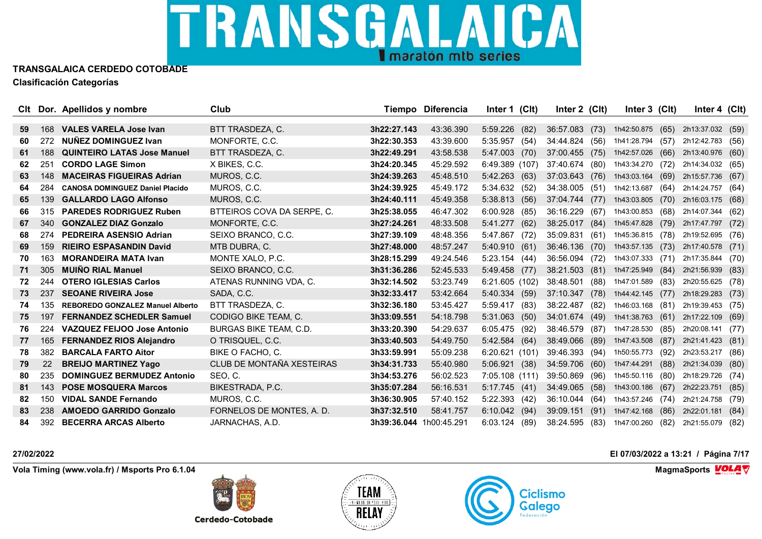

|    |     | CIt Dor. Apellidos y nombre             | Club                          |             | Tiempo Diferencia | Inter 1 (Clt)    | Inter 2 (CIt)     | Inter $3$ (CIt)  |      | Inter $4$ (Clt)  |      |
|----|-----|-----------------------------------------|-------------------------------|-------------|-------------------|------------------|-------------------|------------------|------|------------------|------|
| 59 | 168 | <b>VALES VARELA Jose Ivan</b>           | BTT TRASDEZA, C.              | 3h22:27.143 | 43:36.390         | 5:59.226         |                   | 1h42:50.875      |      | 2h13:37.032      |      |
| 60 | 272 | NUNEZ DOMINGUEZ Ivan                    |                               | 3h22:30.353 | 43:39.600         | (82)             | 36:57.083 (73)    |                  | (65) |                  | (59) |
|    |     |                                         | MONFORTE, C.C.                |             |                   | 5:35.957<br>(54) | 34:44.824 (56)    | 1h41:28.794      | (57) | 2h12:42.783      | (56) |
| 61 | 188 | <b>QUINTEIRO LATAS Jose Manuel</b>      | BTT TRASDEZA, C.              | 3h22:49.291 | 43:58.538         | 5:47.003<br>(70) | 37:00.455<br>(75) | 1h42:57.026      | (66) | 2h13:40.976      | (60) |
| 62 | 251 | <b>CORDO LAGE Simon</b>                 | X BIKES, C.C.                 | 3h24:20.345 | 45:29.592         | 6:49.389 (107)   | 37:40.674 (80)    | 1h43:34.270      | (72) | 2h14:34.032 (65) |      |
| 63 | 148 | <b>MACEIRAS FIGUEIRAS Adrian</b>        | MUROS, C.C.                   | 3h24:39.263 | 45:48.510         | 5:42.263<br>(63) | 37:03.643 (76)    | 1h43:03.164      | (69) | 2h15:57.736      | (67) |
| 64 | 284 | <b>CANOSA DOMINGUEZ Daniel Placido</b>  | MUROS, C.C.                   | 3h24:39.925 | 45:49.172         | 5:34.632<br>(52) | 34:38.005<br>(51) | 1h42:13.687      | (64) | 2h14:24.757      | (64) |
| 65 | 139 | <b>GALLARDO LAGO Alfonso</b>            | MUROS, C.C.                   | 3h24:40.111 | 45:49.358         | 5:38.813<br>(56) | 37:04.744 (77)    | 1h43:03.805      | (70) | 2h16:03.175      | (68) |
| 66 | 315 | <b>PAREDES RODRIGUEZ Ruben</b>          | BTTEIROS COVA DA SERPE. C.    | 3h25:38.055 | 46:47.302         | 6:00.928<br>(85) | 36:16.229<br>(67) | 1h43:00.853      | (68) | 2h14:07.344 (62) |      |
| 67 | 340 | <b>GONZALEZ DIAZ Gonzalo</b>            | MONFORTE, C.C.                | 3h27:24.261 | 48:33.508         | 5:41.277<br>(62) | 38:25.017<br>(84) | 1h45:47.828      | (79) | 2h17:47.797      | (72) |
| 68 | 274 | <b>PEDREIRA ASENSIO Adrian</b>          | SEIXO BRANCO, C.C.            | 3h27:39.109 | 48:48.356         | 5:47.867 (72)    | 35:09.831<br>(61) | 1h45:36.815 (78) |      | 2h19:52.695 (76) |      |
| 69 | 159 | <b>RIEIRO ESPASANDIN David</b>          | MTB DUBRA, C.                 | 3h27:48.000 | 48:57.247         | 5:40.910(61)     | 36:46.136<br>(70) | 1h43:57.135      | (73) | 2h17:40.578      | (71) |
| 70 | 163 | <b>MORANDEIRA MATA Ivan</b>             | MONTE XALO, P.C.              | 3h28:15.299 | 49:24.546         | 5:23.154 (44)    | 36:56.094 (72)    | 1h43:07.333      | (71) | 2h17:35.844 (70) |      |
| 71 | 305 | <b>MUIÑO RIAL Manuel</b>                | SEIXO BRANCO, C.C.            | 3h31:36.286 | 52:45.533         | 5:49.458 (77)    | 38:21.503<br>(81) | 1h47:25.949      | (84) | 2h21:56.939      | (83) |
| 72 | 244 | <b>OTERO IGLESIAS Carlos</b>            | ATENAS RUNNING VDA, C.        | 3h32:14.502 | 53:23.749         | 6:21.605 (102)   | 38:48.501<br>(88) | 1h47:01.589      | (83) | 2h20:55.625 (78) |      |
| 73 | 237 | <b>SEOANE RIVEIRA Jose</b>              | SADA, C.C.                    | 3h32:33.417 | 53:42.664         | 5:40.334 (59)    | 37:10.347<br>(78) | 1h44:42.145      | (77) | 2h18:29.283      | (73) |
| 74 | 135 | <b>REBOREDO GONZALEZ Manuel Alberto</b> | BTT TRASDEZA, C.              | 3h32:36.180 | 53:45.427         | 5:59.417<br>(83) | 38:22.487<br>(82) | 1h46:03.168      | (81) | 2h19:39.453      | (75) |
| 75 | 197 | <b>FERNANDEZ SCHEDLER Samuel</b>        | CODIGO BIKE TEAM, C.          | 3h33:09.551 | 54:18.798         | 5:31.063<br>(50) | 34:01.674 (49)    | 1h41:38.763      | (61) | 2h17:22.109      | (69) |
| 76 | 224 | <b>VAZQUEZ FEIJOO Jose Antonio</b>      | <b>BURGAS BIKE TEAM, C.D.</b> | 3h33:20.390 | 54:29.637         | $6:05.475$ (92)  | 38:46.579<br>(87) | 1h47:28.530      | (85) | 2h20:08.141 (77) |      |
| 77 | 165 | <b>FERNANDEZ RIOS Alejandro</b>         | O TRISQUEL, C.C.              | 3h33:40.503 | 54:49.750         | 5:42.584 (64)    | 38:49.066<br>(89) | 1h47:43.508      | (87) | 2h21:41.423      | (81) |
| 78 | 382 | <b>BARCALA FARTO Aitor</b>              | BIKE O FACHO, C.              | 3h33:59.991 | 55:09.238         | 6:20.621(101)    | 39:46.393<br>(94) | 1h50:55.773      | (92) | 2h23:53.217      | (86) |
| 79 | 22  | <b>BREIJO MARTINEZ Yago</b>             | CLUB DE MONTAÑA XESTEIRAS     | 3h34:31.733 | 55:40.980         | 5:06.921<br>(38) | 34:59.706<br>(60) | 1h47:44.291      | (88) | 2h21:34.039      | (80) |
| 80 | 235 | <b>DOMINGUEZ BERMUDEZ Antonio</b>       | SEO, C.                       | 3h34:53.276 | 56:02.523         | 7:05.108 (111)   | 39:50.869<br>(96) | 1h45:50.116      | (80) | 2h18:29.726      | (74) |
| 81 | 143 | <b>POSE MOSQUERA Marcos</b>             | BIKESTRADA, P.C.              | 3h35:07.284 | 56:16.531         | 5:17.745<br>(41) | 34:49.065<br>(58) | 1h43:00.186      | (67) | 2h22:23.751      | (85) |
| 82 | 150 | <b>VIDAL SANDE Fernando</b>             | MUROS, C.C.                   | 3h36:30.905 | 57:40.152         | 5:22.393 (42)    | 36:10.044<br>(64) | 1h43:57.246      | (74) | 2h21:24.758      | (79) |
| 83 | 238 | <b>AMOEDO GARRIDO Gonzalo</b>           | FORNELOS DE MONTES, A. D.     | 3h37:32.510 | 58:41.757         | $6:10.042$ (94)  | 39:09.151<br>(91) | 1h47:42.168      | (86) | 2h22:01.181      | (84) |
| 84 | 392 | <b>BECERRA ARCAS Alberto</b>            | JARNACHAS, A.D.               | 3h39:36.044 | 1h00:45.291       | 6:03.124<br>(89) | 38:24.595<br>(83) | 1h47:00.260      | (82) | 2h21:55.079      | (82) |

**Vola Timing (www.vola.fr) / Msports Pro 6.1.04 MagmaSports VOLA**  $\mathbf{\nabla}$ 

**Cerdedo-Cotobade** 





**27/02/2022 El 07/03/2022 a 13:21 / Página 7/17**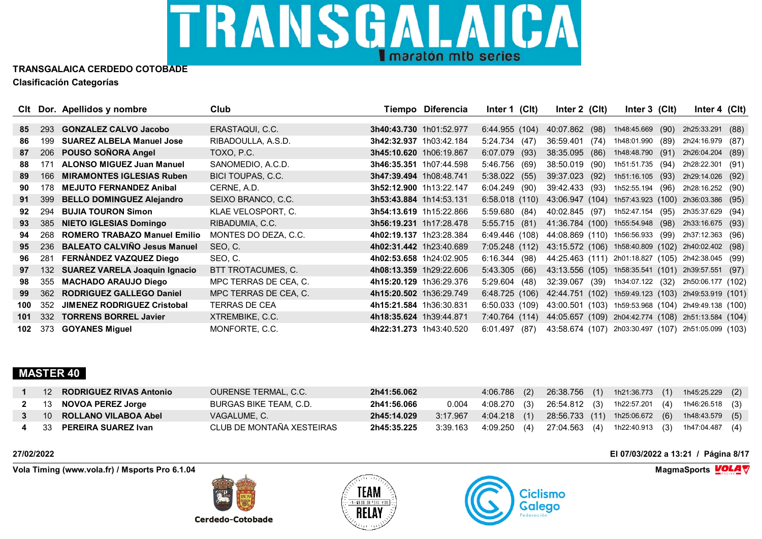

|                 |     | CIt Dor. Apellidos y nombre          | Club                  |                         | Tiempo Diferencia | Inter 1 $(CIt)$ | Inter $2$ (Clt)   | Inter 3 (Clt)                                       | Inter 4 $(CIt)$   |      |
|-----------------|-----|--------------------------------------|-----------------------|-------------------------|-------------------|-----------------|-------------------|-----------------------------------------------------|-------------------|------|
| 85              | 293 | <b>GONZALEZ CALVO Jacobo</b>         | ERASTAQUI, C.C.       | 3h40:43.730 1h01:52.977 |                   | 6:44.955 (104)  | 40:07.862 (98)    | 1h48:45.669<br>(90)                                 | 2h25:33.291 (88)  |      |
| 86              | 199 | <b>SUAREZ ALBELA Manuel Jose</b>     | RIBADOULLA, A.S.D.    | 3h42:32.937 1h03:42.184 |                   | 5:24.734 (47)   | 36:59.401<br>(74) | 1h48:01.990<br>(89)                                 | 2h24:16.979 (87)  |      |
| 87              | 206 | POUSO SOÑORA Angel                   | TOXO, P.C.            | 3h45:10.620 1h06:19.867 |                   | 6:07.079 (93)   | 38:35.095 (86)    | 1h48:48.790 (91)                                    | 2h26:04.204       | (89) |
| 88              | 171 | <b>ALONSO MIGUEZ Juan Manuel</b>     | SANOMEDIO, A.C.D.     | 3h46:35.351 1h07:44.598 |                   | 5:46.756 (69)   | 38:50.019 (90)    | 1h51:51.735 (94)                                    | 2h28:22.301 (91)  |      |
| 89              | 166 | <b>MIRAMONTES IGLESIAS Ruben</b>     | BICI TOUPAS, C.C.     | 3h47:39.494 1h08:48.741 |                   | $5:38.022$ (55) | 39:37.023 (92)    | 1h51:16.105 (93)                                    | 2h29:14.026 (92)  |      |
| 90              | 178 | <b>MEJUTO FERNANDEZ Anibal</b>       | CERNE, A.D.           | 3h52:12.900 1h13:22.147 |                   | 6:04.249(90)    | 39:42.433 (93)    | 1h52:55.194 (96)                                    | 2h28:16.252 (90)  |      |
| 91              | 399 | <b>BELLO DOMINGUEZ Alejandro</b>     | SEIXO BRANCO, C.C.    | 3h53:43.884 1h14:53.131 |                   | 6:58.018(110)   | 43:06.947 (104)   | 1h57:43.923 (100)                                   | 2h36:03.386 (95)  |      |
| 92              | 294 | <b>BUJIA TOURON Simon</b>            | KLAE VELOSPORT, C.    | 3h54:13.619 1h15:22.866 |                   | 5:59.680(84)    | 40:02.845 (97)    | 1h52:47.154 (95)                                    | 2h35:37.629 (94)  |      |
| 93              | 385 | <b>NIETO IGLESIAS Domingo</b>        | RIBADUMIA, C.C.       | 3h56:19.231 1h17:28.478 |                   | 5:55.715(81)    |                   | 41:36.784 (100) 1h55:54.948 (98)                    | 2h33:16.675 (93)  |      |
| 94              | 268 | <b>ROMERO TRABAZO Manuel Emilio</b>  | MONTES DO DEZA, C.C.  | 4h02:19.137 1h23:28.384 |                   | 6:49.446 (108)  |                   | 44:08.869 (110) 1h56:56.933 (99)                    | 2h37:12.363 (96)  |      |
| 95 <sup>°</sup> | 236 | <b>BALEATO CALVIÑO Jesus Manuel</b>  | SEO, C.               | 4h02:31.442 1h23:40.689 |                   | 7:05.248(112)   |                   | 43:15.572 (106) 1h58:40.809 (102) 2h40:02.402 (98)  |                   |      |
| 96              | 281 | FERNANDEZ VAZQUEZ Diego              | SEO, C.               | 4h02:53.658 1h24:02.905 |                   | 6:16.344(98)    |                   | 44:25.463 (111) 2h01:18.827 (105) 2h42:38.045 (99)  |                   |      |
| 97              | 132 | <b>SUAREZ VARELA Joaquin Ignacio</b> | BTT TROTACUMES, C.    | 4h08:13.359 1h29:22.606 |                   | 5:43.305(66)    |                   | 43:13.556 (105) 1h58:35.541 (101) 2h39:57.551 (97)  |                   |      |
| 98              | 355 | <b>MACHADO ARAUJO Diego</b>          | MPC TERRAS DE CEA, C. | 4h15:20.129 1h36:29.376 |                   | 5:29.604(48)    | 32:39.067 (39)    | 1h34:07.122 (32)                                    | 2h50:06.177 (102) |      |
| 99              | 362 | <b>RODRIGUEZ GALLEGO Daniel</b>      | MPC TERRAS DE CEA, C. | 4h15:20.502 1h36:29.749 |                   | 6:48.725(106)   |                   | 42:44.751 (102) 1h59:49.123 (103) 2h49:53.919 (101) |                   |      |
| 100             | 352 | <b>JIMENEZ RODRIGUEZ Cristobal</b>   | <b>TERRAS DE CEA</b>  | 4h15:21.584 1h36:30.831 |                   | 6:50.033(109)   |                   | 43:00.501 (103) 1h59:53.968 (104) 2h49:49.138 (100) |                   |      |
| 101             | 332 | <b>TORRENS BORREL Javier</b>         | XTREMBIKE, C.C.       | 4h18:35.624 1h39:44.871 |                   | 7:40.764 (114)  |                   | 44:05.657 (109) 2h04:42.774 (108)                   | 2h51:13.584 (104) |      |
| 102             | 373 | <b>GOYANES Miquel</b>                | MONFORTE, C.C.        | 4h22:31.273 1h43:40.520 |                   | 6:01.497(87)    |                   | 43:58.674 (107) 2h03:30.497 (107) 2h51:05.099 (103) |                   |      |

### **MASTER 40**

| 12 RODRIGUEZ RIVAS Antonio | OURENSE TERMAL, C.C.      | 2h41:56.062 |       | 4:06.786 (2)              |  | 26:38.756 (1) 1h21:36.773 (1) 1h45:25.229 (2)                        |
|----------------------------|---------------------------|-------------|-------|---------------------------|--|----------------------------------------------------------------------|
| 13 NOVOA PEREZ Jorge       | BURGAS BIKE TEAM. C.D.    | 2h41:56.066 | 0.004 |                           |  | 4:08.270 (3) 26:54.812 (3) 1h22:57.201 (4) 1h46:26.518 (3)           |
| 10 ROLLANO VILABOA Abel    | VAGALUME, C.              | 2h45:14.029 |       |                           |  | 3:17.967 4:04.218 (1) 28:56.733 (11) 1h25:06.672 (6) 1h48:43.579 (5) |
| 33 PEREIRA SUAREZ Ivan     | CLUB DE MONTAÑA XESTEIRAS | 2h45:35.225 |       | 3:39.163   4:09.250   (4) |  | 27:04.563 (4)  1h22:40.913 (3)  1h47:04.487 (4)                      |

**Vola Timing (www.vola.fr) / Msports Pro 6.1.04 MagmaSports VOLA**  $\mathbf{\nabla}$ 

**Cerdedo-Cotobade** 





**27/02/2022 El 07/03/2022 a 13:21 / Página 8/17**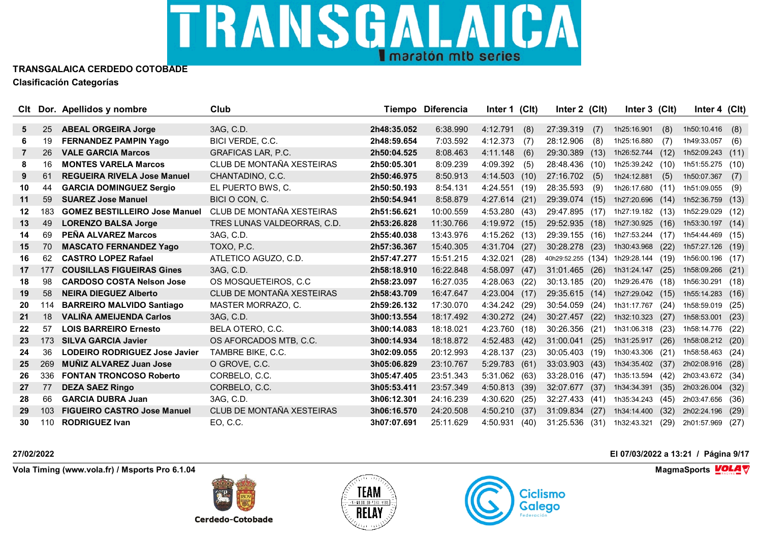

|    |     | CIt Dor. Apellidos y nombre          | Club                        |             | Tiempo Diferencia | Inter 1 (Clt)   |      | Inter 2 (Clt)      |      | Inter 3 (Clt)    |      | Inter 4 $(Clt)$  |      |
|----|-----|--------------------------------------|-----------------------------|-------------|-------------------|-----------------|------|--------------------|------|------------------|------|------------------|------|
| 5  | 25  | <b>ABEAL ORGEIRA Jorge</b>           | 3AG, C.D.                   | 2h48:35.052 | 6:38.990          | 4:12.791        | (8)  | 27:39.319          | (7)  | 1h25:16.901      | (8)  | 1h50:10.416      | (8)  |
| 6. | 19  | <b>FERNANDEZ PAMPIN Yago</b>         | BICI VERDE, C.C.            | 2h48:59.654 | 7:03.592          | 4:12.373        | (7)  | 28:12.906          | (8)  | 1h25:16.880      | (7)  | 1h49:33.057      |      |
| 7  | 26  | <b>VALE GARCIA Marcos</b>            | <b>GRAFICAS LAR, P.C.</b>   | 2h50:04.525 | 8:08.463          | 4:11.148        |      | 29:30.389          | (13) | 1h26:52.744      | (12) | 1h52:09.243      | (6)  |
| 8  | 16  | <b>MONTES VARELA Marcos</b>          | CLUB DE MONTAÑA XESTEIRAS   | 2h50:05.301 |                   |                 | (6)  |                    |      |                  |      |                  | (11) |
|    |     |                                      |                             |             | 8:09.239          | 4:09.392        | (5)  | 28:48.436          | (10) | 1h25:39.242 (10) |      | 1h51:55.275      | (10) |
| 9  | 61  | <b>REGUEIRA RIVELA Jose Manuel</b>   | CHANTADINO, C.C.            | 2h50:46.975 | 8:50.913          | 4:14.503(10)    |      | 27:16.702          | (5)  | 1h24:12.881      | (5)  | 1h50:07.367      | (7)  |
| 10 | 44  | <b>GARCIA DOMINGUEZ Sergio</b>       | EL PUERTO BWS. C.           | 2h50:50.193 | 8:54.131          | 4:24.551        | (19) | 28:35.593          | (9)  | 1h26:17.680      | (11) | 1h51:09.055      | (9)  |
| 11 | 59  | <b>SUAREZ Jose Manuel</b>            | BICI O CON, C.              | 2h50:54.941 | 8:58.879          | 4:27.614(21)    |      | 29:39.074 (15)     |      | 1h27:20.696      | (14) | 1h52:36.759      | (13) |
| 12 | 183 | <b>GOMEZ BESTILLEIRO Jose Manuel</b> | CLUB DE MONTAÑA XESTEIRAS   | 2h51:56.621 | 10:00.559         | 4:53.280 (43)   |      | 29:47.895          | (17) | 1h27:19.182 (13) |      | 1h52:29.029      | (12) |
| 13 | 49  | <b>LORENZO BALSA Jorge</b>           | TRES LUNAS VALDEORRAS, C.D. | 2h53:26.828 | 11:30.766         | 4:19.972 (15)   |      | 29:52.935          | (18) | 1h27:30.925      | (16) | 1h53:30.197      | (14) |
| 14 | 69  | PEÑA ALVAREZ Marcos                  | 3AG, C.D.                   | 2h55:40.038 | 13:43.976         | $4:15.262$ (13) |      | 29:39.155          | (16) | 1h27:53.244      | (17) | 1h54:44.469 (15) |      |
| 15 | 70  | <b>MASCATO FERNANDEZ Yago</b>        | TOXO, P.C.                  | 2h57:36.367 | 15:40.305         | 4:31.704        | (27) | 30:28.278          | (23) | 1h30:43.968      | (22) | 1h57:27.126      | (19) |
| 16 | 62  | <b>CASTRO LOPEZ Rafael</b>           | ATLETICO AGUZO, C.D.        | 2h57:47.277 | 15:51.215         | 4:32.021        | (28) | 40h29:52.255 (134) |      | 1h29:28.144      | (19) | 1h56:00.196      | (17) |
| 17 | 177 | <b>COUSILLAS FIGUEIRAS Gines</b>     | 3AG, C.D.                   | 2h58:18.910 | 16:22.848         | 4:58.097        | (47) | 31:01.465          | (26) | 1h31:24.147      | (25) | 1h58:09.266      | (21) |
| 18 | 98  | <b>CARDOSO COSTA Nelson Jose</b>     | OS MOSQUETEIROS, C.C.       | 2h58:23.097 | 16:27.035         | 4:28.063        | (22) | 30:13.185          | (20) | 1h29:26.476      | (18) | 1h56:30.291      | (18) |
| 19 | 58  | <b>NEIRA DIEGUEZ Alberto</b>         | CLUB DE MONTAÑA XESTEIRAS   | 2h58:43.709 | 16:47.647         | 4:23.004        | (17) | 29:35.615          | (14) | 1h27:29.042      | (15) | 1h55:14.283      | (16) |
| 20 | 114 | <b>BARREIRO MALVIDO Santiago</b>     | MASTER MORRAZO, C.          | 2h59:26.132 | 17:30.070         | 4:34.242 (29)   |      | 30:54.059          | (24) | 1h31:17.767      | (24) | 1h58:59.019      | (25) |
| 21 | 18  | <b>VALIÑA AMEIJENDA Carlos</b>       | 3AG, C.D.                   | 3h00:13.554 | 18:17.492         | 4:30.272 (24)   |      | 30:27.457          | (22) | 1h32:10.323      | (27) | 1h58:53.001      | (23) |
| 22 | 57  | <b>LOIS BARREIRO Ernesto</b>         | BELA OTERO, C.C.            | 3h00:14.083 | 18:18.021         | 4:23.760 (18)   |      | 30:26.356          | (21) | 1h31:06.318      | (23) | 1h58:14.776      | (22) |
| 23 | 173 | <b>SILVA GARCIA Javier</b>           | OS AFORCADOS MTB, C.C.      | 3h00:14.934 | 18:18.872         | 4:52.483        | (42) | 31:00.041          | (25) | 1h31:25.917      | (26) | 1h58:08.212      | (20) |
| 24 | 36  | <b>LODEIRO RODRIGUEZ Jose Javier</b> | TAMBRE BIKE, C.C.           | 3h02:09.055 | 20:12.993         | 4:28.137        | (23) | 30:05.403          | (19) | 1h30:43.306      | (21) | 1h58:58.463      | (24) |
| 25 | 269 | <b>MUÑIZ ALVAREZ Juan Jose</b>       | O GROVE, C.C.               | 3h05:06.829 | 23:10.767         | 5:29.783        | (61) | 33:03.903          | (43) | 1h34:35.402      | (37) | 2h02:08.916      | (28) |
| 26 | 336 | <b>FONTAN TRONCOSO Roberto</b>       | CORBELO, C.C.               | 3h05:47.405 | 23:51.343         | 5:31.062 (63)   |      | 33:28.016          | (47) | 1h35:13.594      | (42) | 2h03:43.672 (34) |      |
| 27 | 77  | <b>DEZA SAEZ Ringo</b>               | CORBELO, C.C.               | 3h05:53.411 | 23:57.349         | 4:50.813        | (39) | 32:07.677          | (37) | 1h34:34.391      | (35) | 2h03:26.004      | (32) |
| 28 | 66  | <b>GARCIA DUBRA Juan</b>             | 3AG, C.D.                   | 3h06:12.301 | 24:16.239         | 4:30.620        | (25) | 32:27.433          | (41) | 1h35:34.243      | (45) | 2h03:47.656      | (36) |
| 29 | 103 | <b>FIGUEIRO CASTRO Jose Manuel</b>   | CLUB DE MONTAÑA XESTEIRAS   | 3h06:16.570 | 24:20.508         | 4:50.210        | (37) | 31:09.834          | (27) | 1h34:14.400      | (32) | 2h02:24.196      | (29) |
| 30 | 110 | <b>RODRIGUEZ Ivan</b>                | EO, C.C                     | 3h07:07.691 | 25:11.629         | 4:50.931        | (40) | 31:25.536          | (31) | 1h32:43.321      | (29) | 2h01:57.969      | (27) |

**Vola Timing (www.vola.fr) / Msports Pro 6.1.04 MagmaSports VOLA**  $\mathbf{\nabla}$ 

**Cerdedo-Cotobade** 





**27/02/2022 El 07/03/2022 a 13:21 / Página 9/17**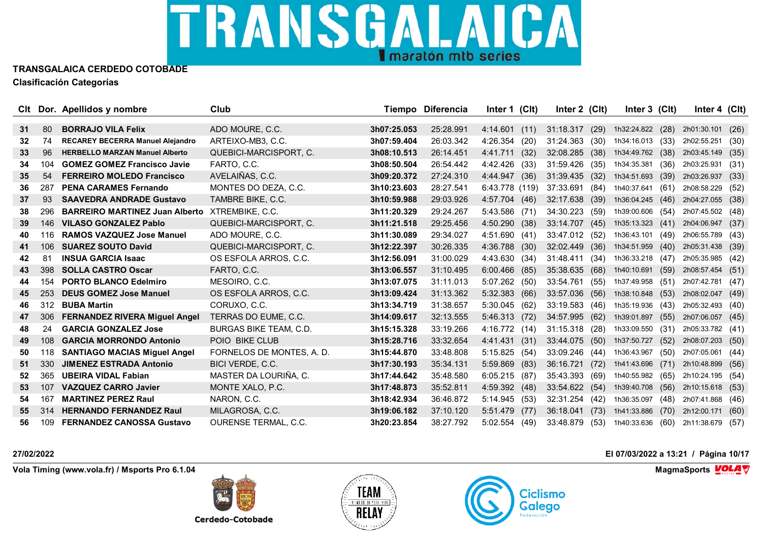

|    |     | CIt Dor. Apellidos y nombre             | Club                          |             | Tiempo Diferencia | Inter 1 (Clt)    | Inter 2 (Clt) |      | Inter 3 (Clt) |      | Inter 4 $(Clt)$  |      |
|----|-----|-----------------------------------------|-------------------------------|-------------|-------------------|------------------|---------------|------|---------------|------|------------------|------|
|    |     |                                         |                               |             |                   |                  |               |      |               |      |                  |      |
| 31 | -80 | <b>BORRAJO VILA Felix</b>               | ADO MOURE, C.C.               | 3h07:25.053 | 25:28.991         | 4:14.601(11)     | 31:18.317     | (29) | 1h32:24.822   | (28) | 2h01:30.101      | (26) |
| 32 | -74 | <b>RECAREY BECERRA Manuel Alejandro</b> | ARTEIXO-MB3, C.C.             | 3h07:59.404 | 26:03.342         | 4:26.354<br>(20) | 31:24.363     | (30) | 1h34:16.013   | (33) | 2h02:55.251      | (30) |
| 33 | 96  | <b>HERBELLO MARZAN Manuel Alberto</b>   | QUEBICI-MARCISPORT, C.        | 3h08:10.513 | 26:14.451         | 4:41.711<br>(32) | 32:08.285     | (38) | 1h34:49.762   | (38) | 2h03:45.149      | (35) |
| 34 | 104 | <b>GOMEZ GOMEZ Francisco Javie</b>      | FARTO, C.C.                   | 3h08:50.504 | 26:54.442         | 4:42.426<br>(33) | 31:59.426     | (35) | 1h34:35.381   | (36) | 2h03:25.931      | (31) |
| 35 | 54  | <b>FERREIRO MOLEDO Francisco</b>        | AVELAIÑAS, C.C.               | 3h09:20.372 | 27:24.310         | 4:44.947<br>(36) | 31:39.435     | (32) | 1h34:51.693   | (39) | 2h03:26.937      | (33) |
| 36 | 287 | <b>PENA CARAMES Fernando</b>            | MONTES DO DEZA, C.C.          | 3h10:23.603 | 28:27.541         | 6:43.778 (119)   | 37:33.691     | (84) | 1h40:37.641   | (61) | 2h08:58.229      | (52) |
| 37 | 93  | <b>SAAVEDRA ANDRADE Gustavo</b>         | TAMBRE BIKE, C.C.             | 3h10:59.988 | 29:03.926         | 4:57.704 (46)    | 32:17.638     | (39) | 1h36:04.245   | (46) | 2h04:27.055      | (38) |
| 38 | 296 | <b>BARREIRO MARTINEZ Juan Alberto</b>   | XTREMBIKE, C.C.               | 3h11:20.329 | 29:24.267         | $5:43.586$ (71)  | 34:30.223     | (59) | 1h39:00.606   | (54) | 2h07:45.502 (48) |      |
| 39 | 146 | <b>VILASO GONZALEZ Pablo</b>            | QUEBICI-MARCISPORT, C.        | 3h11:21.518 | 29:25.456         | 4:50.290<br>(38) | 33:14.707     | (45) | 1h35:13.323   | (41) | 2h04:06.947      | (37) |
| 40 | 116 | <b>RAMOS VAZQUEZ Jose Manuel</b>        | ADO MOURE, C.C.               | 3h11:30.089 | 29:34.027         | 4:51.690 (41)    | 33:47.012     | (52) | 1h36:43.101   | (49) | 2h06:55.789 (43) |      |
| 41 | 106 | <b>SUAREZ SOUTO David</b>               | QUEBICI-MARCISPORT, C.        | 3h12:22.397 | 30:26.335         | 4:36.788 (30)    | 32:02.449     | (36) | 1h34:51.959   | (40) | 2h05:31.438      | (39) |
| 42 | 81  | <b>INSUA GARCIA Isaac</b>               | OS ESFOLA ARROS, C.C.         | 3h12:56.091 | 31:00.029         | 4:43.630 (34)    | 31:48.411     | (34) | 1h36:33.218   | (47) | 2h05:35.985      | (42) |
| 43 | 398 | <b>SOLLA CASTRO Oscar</b>               | FARTO, C.C.                   | 3h13:06.557 | 31:10.495         | 6:00.466<br>(85) | 35:38.635     | (68) | 1h40:10.691   | (59) | 2h08:57.454      | (51) |
| 44 | 154 | <b>PORTO BLANCO Edelmiro</b>            | MESOIRO, C.C.                 | 3h13:07.075 | 31:11.013         | 5:07.262 (50)    | 33:54.761     | (55) | 1h37:49.958   | (51) | 2h07:42.781      | (47) |
| 45 | 253 | <b>DEUS GOMEZ Jose Manuel</b>           | OS ESFOLA ARROS, C.C.         | 3h13:09.424 | 31:13.362         | 5:32.383<br>(66) | 33:57.036     | (56) | 1h38:10.848   | (53) | 2h08:02.047      | (49) |
| 46 | 312 | <b>BUBA Martin</b>                      | CORUXO, C.C.                  | 3h13:34.719 | 31:38.657         | 5:30.045(62)     | 33:19.583     | (46) | 1h35:19.936   | (43) | 2h05:32.493      | (40) |
| 47 | 306 | <b>FERNANDEZ RIVERA Miguel Angel</b>    | TERRAS DO EUME, C.C.          | 3h14:09.617 | 32:13.555         | 5:46.313 (72)    | 34:57.995     | (62) | 1h39:01.897   | (55) | 2h07:06.057      | (45) |
| 48 | 24  | <b>GARCIA GONZALEZ Jose</b>             | <b>BURGAS BIKE TEAM, C.D.</b> | 3h15:15.328 | 33:19.266         | 4:16.772 (14)    | 31:15.318     | (28) | 1h33:09.550   | (31) | 2h05:33.782 (41) |      |
| 49 | 108 | <b>GARCIA MORRONDO Antonio</b>          | POIO BIKE CLUB                | 3h15:28.716 | 33:32.654         | 4:41.431 (31)    | 33:44.075     | (50) | 1h37:50.727   | (52) | 2h08:07.203      | (50) |
| 50 | 118 | <b>SANTIAGO MACIAS Miguel Angel</b>     | FORNELOS DE MONTES, A. D.     | 3h15:44.870 | 33:48.808         | 5:15.825<br>(54) | 33:09.246     | (44) | 1h36:43.967   | (50) | 2h07:05.061      | (44) |
| 51 | 330 | <b>JIMENEZ ESTRADA Antonio</b>          | <b>BICI VERDE, C.C.</b>       | 3h17:30.193 | 35:34.131         | 5:59.869<br>(83) | 36:16.721     | (72) | 1h41:43.696   | (71) | 2h10:48.899      | (56) |
| 52 | 365 | <b>UBEIRA VIDAL Fabian</b>              | MASTER DA LOURIÑA, C.         | 3h17:44.642 | 35:48.580         | 6:05.215(87)     | 35:43.393     | (69) | 1h40:55.982   | (65) | 2h10:24.195 (54) |      |
| 53 | 107 | <b>VAZQUEZ CARRO Javier</b>             | MONTE XALO, P.C.              | 3h17:48.873 | 35:52.811         | 4:59.392 (48)    | 33:54.622     | (54) | 1h39:40.708   | (56) | 2h10:15.618      | (53) |
| 54 | 167 | <b>MARTINEZ PEREZ Raul</b>              | NARON, C.C.                   | 3h18:42.934 | 36:46.872         | 5:14.945<br>(53) | 32:31.254     | (42) | 1h36:35.097   | (48) | 2h07:41.868      | (46) |
| 55 | 314 | <b>HERNANDO FERNANDEZ Raul</b>          | MILAGROSA, C.C.               | 3h19:06.182 | 37:10.120         | 5:51.479<br>(77) | 36:18.041     | (73) | 1h41:33.886   | (70) | 2h12:00.171      | (60) |
| 56 | 109 | <b>FERNANDEZ CANOSSA Gustavo</b>        | <b>OURENSE TERMAL, C.C.</b>   | 3h20:23.854 | 38:27.792         | 5:02.554<br>(49) | 33:48.879     | (53) | 1h40:33.636   | (60) | 2h11:38.679      | (57) |

**Vola Timing (www.vola.fr) / Msports Pro 6.1.04 MagmaSports VOLA**  $\mathbf{\nabla}$ 



**Cerdedo-Cotobade** 



### **27/02/2022 El 07/03/2022 a 13:21 / Página 10/17**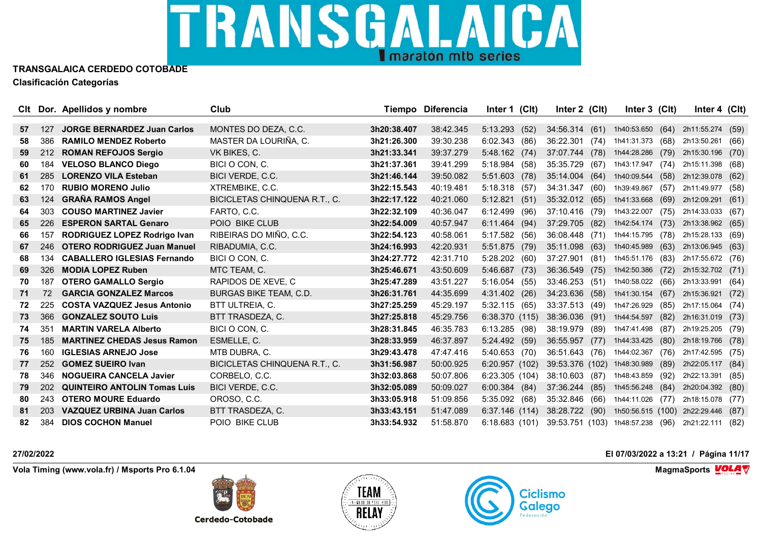

|    |     | CIt Dor. Apellidos y nombre         | Club                          |             | Tiempo Diferencia | Inter 1 (Clt)    | Inter 2 (CIt)   |      | Inter 3 (Clt)               |      | Inter 4 $(Clt)$  |      |
|----|-----|-------------------------------------|-------------------------------|-------------|-------------------|------------------|-----------------|------|-----------------------------|------|------------------|------|
|    |     |                                     |                               |             |                   |                  |                 |      |                             |      |                  |      |
| 57 | 127 | <b>JORGE BERNARDEZ Juan Carlos</b>  | MONTES DO DEZA, C.C.          | 3h20:38.407 | 38:42.345         | 5:13.293(52)     | 34:56.314 (61)  |      | 1h40:53.650 (64)            |      | 2h11:55.274      | (59) |
| 58 | 386 | <b>RAMILO MENDEZ Roberto</b>        | MASTER DA LOURIÑA. C.         | 3h21:26.300 | 39:30.238         | 6:02.343(86)     | 36:22.301       | (74) | 1h41:31.373                 | (68) | 2h13:50.261      | (66) |
| 59 | 212 | <b>ROMAN REFOJOS Sergio</b>         | VK BIKES, C.                  | 3h21:33.341 | 39:37.279         | 5:48.162(74)     | 37:07.744 (78)  |      | 1h44:28.286                 | (79) | 2h15:30.196      | (70) |
| 60 | 184 | <b>VELOSO BLANCO Diego</b>          | BICI O CON, C.                | 3h21:37.361 | 39:41.299         | 5:18.984 (58)    | 35:35.729       | (67) | 1h43:17.947 (74)            |      | 2h15:11.398      | (68) |
| 61 | 285 | <b>LORENZO VILA Esteban</b>         | BICI VERDE, C.C.              | 3h21:46.144 | 39:50.082         | $5:51.603$ (78)  | 35:14.004 (64)  |      | 1h40:09.544                 | (58) | 2h12:39.078      | (62) |
| 62 | 170 | <b>RUBIO MORENO Julio</b>           | XTREMBIKE, C.C.               | 3h22:15.543 | 40:19.481         | 5:18.318<br>(57) | 34:31.347       | (60) | 1h39:49.867                 | (57) | 2h11:49.977      | (58) |
| 63 | 124 | <b>GRAÑA RAMOS Angel</b>            | BICICLETAS CHINQUENA R.T., C. | 3h22:17.122 | 40:21.060         | 5:12.821<br>(51) | 35:32.012       | (65) | 1h41:33.668                 | (69) | 2h12:09.291      | (61) |
| 64 | 303 | <b>COUSO MARTINEZ Javier</b>        | FARTO, C.C.                   | 3h22:32.109 | 40:36.047         | $6:12.499$ (96)  | 37:10.416 (79)  |      | 1h43:22.007 (75)            |      | 2h14:33.033 (67) |      |
| 65 | 226 | <b>ESPERON SARTAL Genaro</b>        | POIO BIKE CLUB                | 3h22:54.009 | 40:57.947         | 6:11.464 (94)    | 37:29.705       | (82) | 1h42:54.174                 | (73) | 2h13:38.962      | (65) |
| 66 | 157 | RODRIGUEZ LOPEZ Rodrigo Ivan        | RIBEIRAS DO MIÑO, C.C.        | 3h22:54.123 | 40:58.061         | 5:17.582 (56)    | 36:08.448 (71)  |      | 1h44:15.795 (78)            |      | 2h15:28.133 (69) |      |
| 67 | 246 | <b>OTERO RODRIGUEZ Juan Manuel</b>  | RIBADUMIA, C.C.               | 3h24:16.993 | 42:20.931         | 5:51.875 (79)    | 35:11.098       | (63) | 1h40:45.989                 | (63) | 2h13:06.945      | (63) |
| 68 | 134 | <b>CABALLERO IGLESIAS Fernando</b>  | BICI O CON, C.                | 3h24:27.772 | 42:31.710         | 5:28.202 (60)    | 37:27.901       | (81) | 1h45:51.176                 | (83) | 2h17:55.672 (76) |      |
| 69 | 326 | <b>MODIA LOPEZ Ruben</b>            | MTC TEAM, C.                  | 3h25:46.671 | 43:50.609         | 5:46.687(73)     | 36:36.549       | (75) | 1h42:50.386                 | (72) | 2h15:32.702      | (71) |
| 70 | 187 | <b>OTERO GAMALLO Sergio</b>         | RAPIDOS DE XEVE, C            | 3h25:47.289 | 43:51.227         | 5:16.054 (55)    | 33:46.253 (51)  |      | 1h40:58.022                 | (66) | 2h13:33.991      | (64) |
| 71 | 72  | <b>GARCIA GONZALEZ Marcos</b>       | <b>BURGAS BIKE TEAM, C.D.</b> | 3h26:31.761 | 44:35.699         | 4:31.402 (26)    | 34:23.636       | (58) | 1h41:30.154                 | (67) | 2h15:36.921      | (72) |
| 72 | 225 | <b>COSTA VAZQUEZ Jesus Antonio</b>  | <b>BTT ULTREIA, C.</b>        | 3h27:25.259 | 45:29.197         | 5:32.115(65)     | 33:37.513 (49)  |      | 1h47:26.929                 | (85) | 2h17:15.064 (74) |      |
| 73 | 366 | <b>GONZALEZ SOUTO Luis</b>          | BTT TRASDEZA, C.              | 3h27:25.818 | 45:29.756         | 6:38.370(115)    | 38:36.036 (91)  |      | 1h44:54.597                 | (82) | 2h16:31.019      | (73) |
| 74 | 351 | <b>MARTIN VARELA Alberto</b>        | BICI O CON. C.                | 3h28:31.845 | 46:35.783         | $6:13.285$ (98)  | 38:19.979       | (89) | 1h47:41.498 (87)            |      | 2h19:25.205 (79) |      |
| 75 | 185 | <b>MARTINEZ CHEDAS Jesus Ramon</b>  | ESMELLE, C.                   | 3h28:33.959 | 46:37.897         | 5:24.492 (59)    | 36:55.957 (77)  |      | 1h44:33.425                 | (80) | 2h18:19.766      | (78) |
| 76 | 160 | <b>IGLESIAS ARNEJO Jose</b>         | MTB DUBRA, C.                 | 3h29:43.478 | 47:47.416         | 5:40.653 (70)    | 36:51.643 (76)  |      | 1h44:02.367                 | (76) | 2h17:42.595      | (75) |
| 77 | 252 | <b>GOMEZ SUEIRO Ivan</b>            | BICICLETAS CHINQUENA R.T., C. | 3h31:56.987 | 50:00.925         | 6:20.957(102)    | 39:53.376 (102) |      | 1h48:30.989                 | (89) | 2h22:05.117      | (84) |
| 78 | 346 | <b>NOGUEIRA CANCELA Javier</b>      | CORBELO, C.C.                 | 3h32:03.868 | 50:07.806         | 6:23.305 (104)   | 38:10.603 (87)  |      | 1h48:43.859                 | (92) | 2h22:13.391      | (85) |
| 79 | 202 | <b>QUINTEIRO ANTOLIN Tomas Luis</b> | BICI VERDE, C.C.              | 3h32:05.089 | 50:09.027         | 6:00.384(84)     | 37:36.244       | (85) | 1h45:56.248                 | (84) | 2h20:04.392      | (80) |
| 80 | 243 | <b>OTERO MOURE Eduardo</b>          | OROSO, C.C.                   | 3h33:05.918 | 51:09.856         | 5:35.092<br>(68) | 35:32.846       | (66) | 1h44:11.026                 | (77) | 2h18:15.078 (77) |      |
| 81 | 203 | <b>VAZQUEZ URBINA Juan Carlos</b>   | BTT TRASDEZA, C.              | 3h33:43.151 | 51:47.089         | 6:37.146(114)    | 38:28.722 (90)  |      | 1h50:56.515 (100)           |      | 2h22:29.446      | (87) |
| 82 | 384 | <b>DIOS COCHON Manuel</b>           | POIO BIKE CLUB                | 3h33:54.932 | 51:58.870         | 6:18.683(101)    |                 |      | 39:53.751 (103) 1h48:57.238 | (96) | 2h21:22.111      | (82) |

**Vola Timing (www.vola.fr) / Msports Pro 6.1.04 MagmaSports VOLA**  $\mathbf{\nabla}$ 



**Cerdedo-Cotobade** 



### **27/02/2022 El 07/03/2022 a 13:21 / Página 11/17**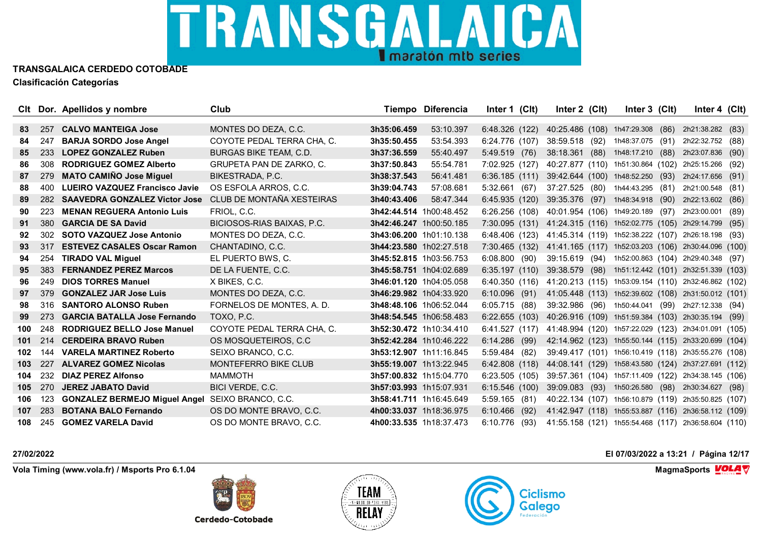

|     |     | CIt Dor. Apellidos y nombre           | Club                            |                         | Tiempo Diferencia | Inter 1 (Clt)                                                     | Inter $2$ (Clt)                                     | Inter 3 (CIt)    | Inter 4 $(Clt)$                    |      |
|-----|-----|---------------------------------------|---------------------------------|-------------------------|-------------------|-------------------------------------------------------------------|-----------------------------------------------------|------------------|------------------------------------|------|
|     |     |                                       |                                 |                         |                   |                                                                   |                                                     |                  |                                    |      |
| 83  | 257 | <b>CALVO MANTEIGA Jose</b>            | MONTES DO DEZA, C.C.            | 3h35:06.459             | 53:10.397         | 6:48.326 (122)                                                    | 40:25.486 (108) 1h47:29.308 (86)                    |                  | 2h21:38.282                        | (83) |
| 84  | 247 | <b>BARJA SORDO Jose Angel</b>         | COYOTE PEDAL TERRA CHA, C.      | 3h35:50.455             | 53:54.393         | 6:24.776(107)                                                     | 38:59.518 (92)                                      | 1h48:37.075 (91) | 2h22:32.752 (88)                   |      |
| 85  | 233 | <b>LOPEZ GONZALEZ Ruben</b>           | <b>BURGAS BIKE TEAM, C.D.</b>   | 3h37:36.559             | 55:40.497         | 5:49.519 (76)                                                     | 38:18.361 (88)                                      | 1h48:17.210 (88) | 2h23:07.836                        | (90) |
| 86  | 308 | <b>RODRIGUEZ GOMEZ Alberto</b>        | <b>GRUPETA PAN DE ZARKO. C.</b> | 3h37:50.843             | 55:54.781         | 7:02.925 (127)                                                    | 40:27.877 (110) 1h51:30.864 (102) 2h25:15.266 (92)  |                  |                                    |      |
| 87  | 279 | <b>MATO CAMIÑO Jose Miguel</b>        | BIKESTRADA, P.C.                | 3h38:37.543             | 56:41.481         | 6:36.185(111)                                                     | 39:42.644 (100) 1h48:52.250 (93)                    |                  | 2h24:17.656 (91)                   |      |
| 88  | 400 | <b>LUEIRO VAZQUEZ Francisco Javie</b> | OS ESFOLA ARROS, C.C.           | 3h39:04.743             | 57:08.681         | (67)<br>5:32.661                                                  | 37:27.525 (80) 1h44:43.295 (81)                     |                  | 2h21:00.548 (81)                   |      |
| 89  | 282 | <b>SAAVEDRA GONZALEZ Victor Jose</b>  | CLUB DE MONTAÑA XESTEIRAS       | 3h40:43.406             | 58:47.344         | 6:45.935(120)                                                     | 39:35.376 (97)                                      | 1h48:34.918 (90) | 2h22:13.602                        | (86) |
| 90  | 223 | <b>MENAN REGUERA Antonio Luis</b>     | FRIOL. C.C.                     | 3h42:44.514 1h00:48.452 |                   | $6:26.256$ (108)                                                  | 40:01.954 (106) 1h49:20.189 (97)                    |                  | 2h23:00.001 (89)                   |      |
| 91  | 380 | <b>GARCIA DE SA David</b>             | BICIOSOS-RIAS BAIXAS, P.C.      | 3h42:46.247 1h00:50.185 |                   | 7:30.095 (131) 41:24.315 (116) 1h52:02.775 (105) 2h29:14.799      |                                                     |                  |                                    | (95) |
| 92  | 302 | <b>SOTO VAZQUEZ Jose Antonio</b>      | MONTES DO DEZA, C.C.            | 3h43:06.200 1h01:10.138 |                   | 6:48.406 (123) 41:45.314 (119) 1h52:38.222 (107) 2h26:18.198 (93) |                                                     |                  |                                    |      |
| 93  | 317 | <b>ESTEVEZ CASALES Oscar Ramon</b>    | CHANTADINO, C.C.                | 3h44:23.580 1h02:27.518 |                   | 7:30.465 (132)                                                    | 41:41.165 (117) 1h52:03.203 (106) 2h30:44.096 (100) |                  |                                    |      |
| 94  | 254 | <b>TIRADO VAL Miguel</b>              | EL PUERTO BWS, C.               | 3h45:52.815 1h03:56.753 |                   | 6:08.800(90)                                                      | 39:15.619 (94)                                      |                  | 1h52:00.863 (104) 2h29:40.348 (97) |      |
| 95  | 383 | <b>FERNANDEZ PEREZ Marcos</b>         | DE LA FUENTE, C.C.              | 3h45:58.751 1h04:02.689 |                   | 6:35.197 (110) 39:38.579 (98) 1h51:12.442 (101) 2h32:51.339 (103) |                                                     |                  |                                    |      |
| 96  | 249 | <b>DIOS TORRES Manuel</b>             | X BIKES, C.C.                   | 3h46:01.120 1h04:05.058 |                   | 6:40.350(116)                                                     | 41:20.213 (115) 1h53:09.154 (110) 2h32:46.862 (102) |                  |                                    |      |
| 97  | 379 | <b>GONZALEZ JAR Jose Luis</b>         | MONTES DO DEZA, C.C.            | 3h46:29.982 1h04:33.920 |                   | $6:10.096$ (91)                                                   | 41:05.448 (113) 1h52:39.602 (108) 2h31:50.012 (101) |                  |                                    |      |
| 98  | 316 | <b>SANTORO ALONSO Ruben</b>           | FORNELOS DE MONTES, A. D.       | 3h48:48.106 1h06:52.044 |                   | $6:05.715$ (88)                                                   | 39:32.986 (96) 1h50:44.041 (99) 2h27:12.338 (94)    |                  |                                    |      |
| 99  | 273 | <b>GARCIA BATALLA Jose Fernando</b>   | TOXO, P.C.                      | 3h48:54.545 1h06:58.483 |                   | 6:22.655(103)                                                     | 40:26.916 (109) 1h51:59.384 (103) 2h30:35.194 (99)  |                  |                                    |      |
| 100 | 248 | <b>RODRIGUEZ BELLO Jose Manuel</b>    | COYOTE PEDAL TERRA CHA, C.      | 3h52:30.472 1h10:34.410 |                   | 6:41.527(117)                                                     | 41:48.994 (120) 1h57:22.029 (123) 2h34:01.091 (105) |                  |                                    |      |
| 101 | 214 | <b>CERDEIRA BRAVO Ruben</b>           | OS MOSQUETEIROS, C.C.           | 3h52:42.284 1h10:46.222 |                   | $6:14.286$ (99)                                                   | 42:14.962 (123) 1h55:50.144 (115) 2h33:20.699 (104) |                  |                                    |      |
| 102 | 144 | <b>VARELA MARTINEZ Roberto</b>        | SEIXO BRANCO, C.C.              | 3h53:12.907 1h11:16.845 |                   | 5:59.484 (82)                                                     | 39:49.417 (101) 1h56:10.419 (118) 2h35:55.276 (108) |                  |                                    |      |
| 103 | 227 | <b>ALVAREZ GOMEZ Nicolas</b>          | <b>MONTEFERRO BIKE CLUB</b>     | 3h55:19.007 1h13:22.945 |                   | 6:42.808(118)                                                     | 44:08.141 (129) 1h58:43.580 (124) 2h37:27.691 (112) |                  |                                    |      |
| 104 | 232 | <b>DIAZ PEREZ Alfonso</b>             | <b>MAMMOTH</b>                  | 3h57:00.832 1h15:04.770 |                   | 6:23.505(105)                                                     | 39:57.361 (104) 1h57:11.409 (122) 2h34:38.145 (106) |                  |                                    |      |
| 105 | 270 | <b>JEREZ JABATO David</b>             | BICI VERDE, C.C.                | 3h57:03.993 1h15:07.931 |                   | 6:15.546(100)                                                     | 39:09.083 (93)                                      | 1h50:26.580 (98) | 2h30:34.627                        | (98) |
| 106 | 123 | <b>GONZALEZ BERMEJO Miguel Angel</b>  | SEIXO BRANCO, C.C.              | 3h58:41.711 1h16:45.649 |                   | 5:59.165 (81)                                                     | 40:22.134 (107) 1h56:10.879 (119) 2h35:50.825 (107) |                  |                                    |      |
| 107 | 283 | <b>BOTANA BALO Fernando</b>           | OS DO MONTE BRAVO, C.C.         | 4h00:33.037 1h18:36.975 |                   | $6:10.466$ (92)                                                   | 41:42.947 (118) 1h55:53.887 (116) 2h36:58.112 (109) |                  |                                    |      |
| 108 | 245 | <b>GOMEZ VARELA David</b>             | OS DO MONTE BRAVO, C.C.         | 4h00:33.535 1h18:37.473 |                   | 6:10.776<br>(93)                                                  | 41:55.158 (121) 1h55:54.468 (117) 2h36:58.604 (110) |                  |                                    |      |

**Vola Timing (www.vola.fr) / Msports Pro 6.1.04 MagmaSports VOLA**  $\mathbf{\nabla}$ 

**Cerdedo-Cotobade** 





**27/02/2022 El 07/03/2022 a 13:21 / Página 12/17**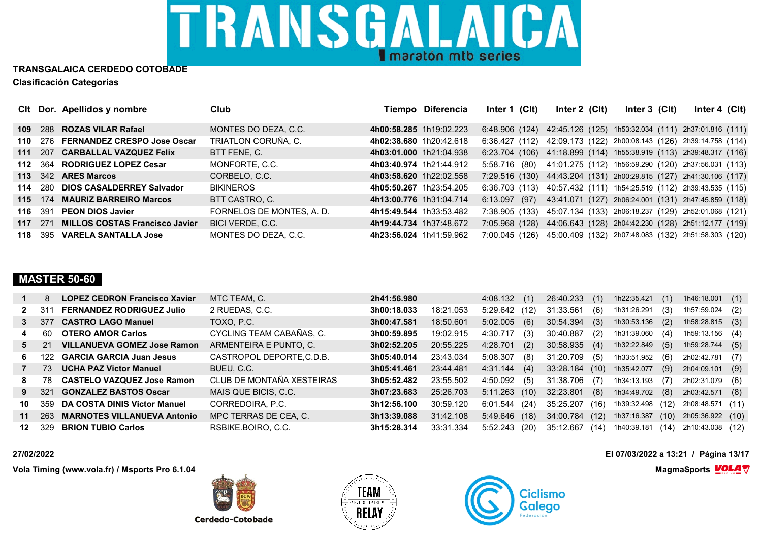

|     |     | CIt Dor. Apellidos y nombre           | Club                      |                         | Tiempo Diferencia | Inter 1 (CIt)                                                      | Inter $2$ (Clt) | Inter $3$ (Clt) | Inter 4 $(Clt)$                                     |  |
|-----|-----|---------------------------------------|---------------------------|-------------------------|-------------------|--------------------------------------------------------------------|-----------------|-----------------|-----------------------------------------------------|--|
|     |     |                                       |                           |                         |                   |                                                                    |                 |                 |                                                     |  |
| 109 |     | 288 ROZAS VILAR Rafael                | MONTES DO DEZA, C.C.      | 4h00:58.285 1h19:02.223 |                   | 6:48.906 (124) 42:45.126 (125) 1h53:32.034 (111) 2h37:01.816 (111) |                 |                 |                                                     |  |
| 110 |     | 276 FERNANDEZ CRESPO Jose Oscar       | TRIATLON CORUÑA, C.       | 4h02:38.680 1h20:42.618 |                   | 6:36.427 (112) 42:09.173 (122) 2h00:08.143 (126) 2h39:14.758 (114) |                 |                 |                                                     |  |
| 111 |     | 207 CARBALLAL VAZQUEZ Felix           | BTT FENE. C.              | 4h03:01.000 1h21:04.938 |                   | 6:23.704 (106) 41:18.899 (114) 1h55:38.919 (113) 2h39:48.317 (116) |                 |                 |                                                     |  |
| 112 |     | 364 RODRIGUEZ LOPEZ Cesar             | MONFORTE, C.C.            | 4h03:40.974 1h21:44.912 |                   | 5:58.716 (80)                                                      |                 |                 | 41:01.275 (112) 1h56:59.290 (120) 2h37:56.031 (113) |  |
|     |     | 113 342 ARES Marcos                   | CORBELO, C.C.             | 4h03:58.620 1h22:02.558 |                   | 7:29.516 (130) 44:43.204 (131) 2h00:29.815 (127) 2h41:30.106 (117) |                 |                 |                                                     |  |
| 114 |     | 280 DIOS CASALDERREY Salvador         | <b>BIKINEROS</b>          | 4h05:50.267 1h23:54.205 |                   | 6:36.703 (113) 40:57.432 (111) 1h54:25.519 (112) 2h39:43.535 (115) |                 |                 |                                                     |  |
| 115 |     | 174 MAURIZ BARREIRO Marcos            | BTT CASTRO, C.            | 4h13:00.776 1h31:04.714 |                   | 6:13.097 (97) 43:41.071 (127) 2h06:24.001 (131) 2h47:45.859 (118)  |                 |                 |                                                     |  |
| 116 | 391 | <b>PEON DIOS Javier</b>               | FORNELOS DE MONTES, A. D. | 4h15:49.544 1h33:53.482 |                   | 7:38.905 (133)                                                     |                 |                 | 45:07.134 (133) 2h06:18.237 (129) 2h52:01.068 (121) |  |
| 117 | 271 | <b>MILLOS COSTAS Francisco Javier</b> | BICI VERDE, C.C.          | 4h19:44.734 1h37:48.672 |                   | 7:05.968 (128)                                                     |                 |                 | 44:06.643 (128) 2h04:42.230 (128) 2h51:12.177 (119) |  |
| 118 |     | 395 VARELA SANTALLA Jose              | MONTES DO DEZA, C.C.      | 4h23:56.024 1h41:59.962 |                   | 7:00.045 (126)                                                     |                 |                 | 45:00.409 (132) 2h07:48.083 (132) 2h51:58.303 (120) |  |

### **MASTER 50-60**

|             | 8                | <b>LOPEZ CEDRON Francisco Xavier</b> | MTC TEAM, C.              | 2h41:56.980 |           | 4:08.132        | (1)  | 26:40.233      | (1)  | 1h22:35.421 | (1)  | 1h46:18.001      | (1) |
|-------------|------------------|--------------------------------------|---------------------------|-------------|-----------|-----------------|------|----------------|------|-------------|------|------------------|-----|
| $2^{\circ}$ | 311              | <b>FERNANDEZ RODRIGUEZ Julio</b>     | 2 RUEDAS, C.C.            | 3h00:18.033 | 18:21.053 | 5:29.642        | (12) | 31:33.561      | (6)  | 1h31:26.291 | (3)  | 1h57:59.024      | (2) |
| 3           | 377              | <b>CASTRO LAGO Manuel</b>            | TOXO, P.C.                | 3h00:47.581 | 18:50.601 | 5:02.005        | (6)  | 30:54.394      | (3)  | 1h30:53.136 | (2)  | 1h58:28.815      | (3) |
| 4           | 60               | <b>OTERO AMOR Carlos</b>             | CYCLING TEAM CABAÑAS, C.  | 3h00:59.895 | 19:02.915 | 4:30.717        | (3)  | 30:40.887      | (2)  | 1h31:39.060 | (4)  | 1h59:13.156      | (4) |
| 5           | 21               | <b>VILLANUEVA GOMEZ Jose Ramon</b>   | ARMENTEIRA E PUNTO, C.    | 3h02:52.205 | 20:55.225 | 4:28.701        | (2)  | 30:58.935      | (4)  | 1h32:22.849 | (5)  | 1h59:28.744      | (5) |
| 6.          | 122 <sub>1</sub> | <b>GARCIA GARCIA Juan Jesus</b>      | CASTROPOL DEPORTE.C.D.B.  | 3h05:40.014 | 23:43.034 | 5:08.307        | (8)  | 31:20.709      | (5)  | 1h33:51.952 | (6)  | 2h02:42.781      | (7) |
|             | 73.              | <b>UCHA PAZ Victor Manuel</b>        | BUEU, C.C.                | 3h05:41.461 | 23:44.481 | 4:31.144(4)     |      | 33:28.184 (10) |      | 1h35:42.077 | (9)  | 2h04:09.101      | (9) |
| 8           | 78               | <b>CASTELO VAZQUEZ Jose Ramon</b>    | CLUB DE MONTAÑA XESTEIRAS | 3h05:52.482 | 23:55.502 | 4:50.092        | (5)  | 31:38.706      | (7)  | 1h34:13.193 | (7)  | 2h02:31.079      | (6) |
| 9           | 321              | <b>GONZALEZ BASTOS Oscar</b>         | MAIS QUE BICIS, C.C.      | 3h07:23.683 | 25:26.703 | $5:11.263$ (10) |      | 32:23.801      | (8)  | 1h34:49.702 | (8)  | 2h03:42.571      | (8) |
| 10          | 359              | DA COSTA DINIS Victor Manuel         | CORREDOIRA, P.C.          | 3h12:56.100 | 30:59.120 | 6:01.544(24)    |      | 35:25.207      | (16) | 1h39:32.498 | (12) | 2h08:48.571 (11) |     |
| 11          | 263              | <b>MARNOTES VILLANUEVA Antonio</b>   | MPC TERRAS DE CEA, C.     | 3h13:39.088 | 31:42.108 | $5:49.646$ (18) |      | 34:00.784      | (12) | 1h37:16.387 | (10) | 2h05:36.922 (10) |     |
| 12          | 329              | <b>BRION TUBIO Carlos</b>            | RSBIKE.BOIRO, C.C.        | 3h15:28.314 | 33:31.334 | $5:52.243$ (20) |      | 35:12.667      | (14) | 1h40:39.181 | (14) | 2h10:43.038 (12) |     |

**Vola Timing (www.vola.fr) / Msports Pro 6.1.04 MagmaSports MagmaSports MagmaSports MagmaSports MagmaSports** 

**Cerdedo-Cotobade** 





**27/02/2022 El 07/03/2022 a 13:21 / Página 13/17**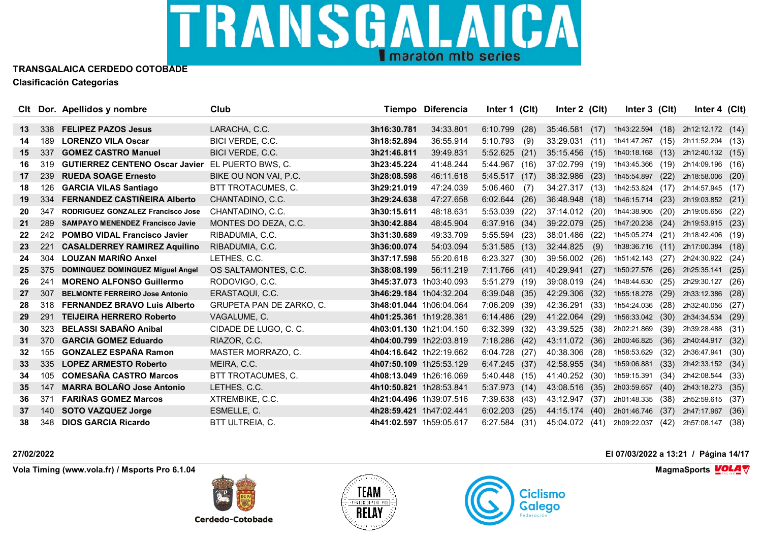

|    |     | Clt Dor. Apellidos y nombre             | Club                     |                         | <b>Tiempo Diferencia</b> | Inter 1 (Clt)    | Inter 2 (Clt)  |      | Inter 3 (Clt)    |      | Inter $4$ (Clt)  |      |
|----|-----|-----------------------------------------|--------------------------|-------------------------|--------------------------|------------------|----------------|------|------------------|------|------------------|------|
|    |     |                                         |                          |                         |                          |                  |                |      |                  |      |                  |      |
| 13 | 338 | <b>FELIPEZ PAZOS Jesus</b>              | LARACHA, C.C.            | 3h16:30.781             | 34:33.801                | 6:10.799<br>(28) | 35:46.581      | (17) | 1h43:22.594 (18) |      | 2h12:12.172 (14) |      |
| 14 | 189 | <b>LORENZO VILA Oscar</b>               | BICI VERDE, C.C.         | 3h18:52.894             | 36:55.914                | 5:10.793<br>(9)  | 33:29.031      | (11) | 1h41:47.267      | (15) | 2h11:52.204 (13) |      |
| 15 | 337 | <b>GOMEZ CASTRO Manuel</b>              | BICI VERDE, C.C.         | 3h21:46.811             | 39:49.831                | 5:52.625<br>(21) | 35:15.456 (15) |      | 1h40:18.168      | (13) | 2h12:40.132 (15) |      |
| 16 | 319 | <b>GUTIERREZ CENTENO Oscar Javier</b>   | EL PUERTO BWS, C.        | 3h23:45.224             | 41:48.244                | 5:44.967 (16)    | 37:02.799 (19) |      | 1h43:45.366 (19) |      | 2h14:09.196 (16) |      |
| 17 | 239 | <b>RUEDA SOAGE Ernesto</b>              | BIKE OU NON VAI, P.C.    | 3h28:08.598             | 46:11.618                | 5:45.517(17)     | 38:32.986      | (23) | 1h45:54.897      | (22) | 2h18:58.006      | (20) |
| 18 | 126 | <b>GARCIA VILAS Santiago</b>            | BTT TROTACUMES, C.       | 3h29:21.019             | 47:24.039                | 5:06.460<br>(7)  | 34:27.317 (13) |      | 1h42:53.824      | (17) | 2h14:57.945 (17) |      |
| 19 | 334 | FERNANDEZ CASTIÑEIRA Alberto            | CHANTADINO, C.C.         | 3h29:24.638             | 47:27.658                | 6:02.644(26)     | 36:48.948      | (18) | 1h46:15.714 (23) |      | 2h19:03.852      | (21) |
| 20 | 347 | RODRIGUEZ GONZALEZ Francisco Jose       | CHANTADINO, C.C.         | 3h30:15.611             | 48:18.631                | 5:53.039 (22)    | 37:14.012      | (20) | 1h44:38.905      | (20) | 2h19:05.656 (22) |      |
| 21 | 289 | <b>SAMPAYO MENENDEZ Francisco Javie</b> | MONTES DO DEZA, C.C.     | 3h30:42.884             | 48:45.904                | 6:37.916<br>(34) | 39:22.079      | (25) | 1h47:20.238      | (24) | 2h19:53.915      | (23) |
| 22 | 242 | <b>POMBO VIDAL Francisco Javier</b>     | RIBADUMIA, C.C.          | 3h31:30.689             | 49:33.709                | 5:55.594 (23)    | 38:01.486      | (22) | 1h45:05.274 (21) |      | 2h18:42.406 (19) |      |
| 23 | 221 | <b>CASALDERREY RAMIREZ Aquilino</b>     | RIBADUMIA, C.C.          | 3h36:00.074             | 54:03.094                | $5:31.585$ (13)  | 32:44.825      | (9)  | 1h38:36.716      | (11) | 2h17:00.384      | (18) |
| 24 | 304 | <b>LOUZAN MARIÑO Anxel</b>              | LETHES, C.C.             | 3h37:17.598             | 55:20.618                | 6:23.327<br>(30) | 39:56.002      | (26) | 1h51:42.143      | (27) | 2h24:30.922      | (24) |
| 25 | 375 | DOMINGUEZ DOMINGUEZ Miguel Angel        | OS SALTAMONTES, C.C.     | 3h38:08.199             | 56:11.219                | 7:11.766 (41)    | 40:29.941      | (27) | 1h50:27.576      | (26) | 2h25:35.141      | (25) |
| 26 | 241 | <b>MORENO ALFONSO Guillermo</b>         | RODOVIGO, C.C.           | 3h45:37.073 1h03:40.093 |                          | 5:51.279 (19)    | 39:08.019      | (24) | 1h48:44.630      | (25) | 2h29:30.127      | (26) |
| 27 | 307 | <b>BELMONTE FERREIRO Jose Antonio</b>   | ERASTAQUI, C.C.          | 3h46:29.184 1h04:32.204 |                          | $6:39.048$ (35)  | 42:29.306      | (32) | 1h55:18.278      | (29) | 2h33:12.386      | (28) |
| 28 | 318 | <b>FERNANDEZ BRAVO Luis Alberto</b>     | GRUPETA PAN DE ZARKO, C. | 3h48:01.044 1h06:04.064 |                          | 7:06.209<br>(39) | 42:36.291      | (33) | 1h54:24.036      | (28) | 2h32:40.056      | (27) |
| 29 | 291 | <b>TEIJEIRA HERRERO Roberto</b>         | VAGALUME, C.             | 4h01:25.361 1h19:28.381 |                          | 6:14.486 (29)    | 41:22.064      | (29) | 1h56:33.042      | (30) | 2h34:34.534      | (29) |
| 30 | 323 | <b>BELASSI SABAÑO Anibal</b>            | CIDADE DE LUGO, C. C.    | 4h03:01.130 1h21:04.150 |                          | $6:32.399$ (32)  | 43:39.525      | (38) | 2h02:21.869      | (39) | 2h39:28.488 (31) |      |
| 31 | 370 | <b>GARCIA GOMEZ Eduardo</b>             | RIAZOR, C.C.             | 4h04:00.799 1h22:03.819 |                          | 7:18.286 (42)    | 43:11.072 (36) |      | 2h00:46.825      | (36) | 2h40:44.917      | (32) |
| 32 | 155 | <b>GONZALEZ ESPAÑA Ramon</b>            | MASTER MORRAZO, C.       | 4h04:16.642 1h22:19.662 |                          | 6:04.728 (27)    | 40:38.306 (28) |      | 1h58:53.629      | (32) | 2h36:47.941      | (30) |
| 33 | 335 | <b>LOPEZ ARMESTO Roberto</b>            | MEIRA, C.C.              | 4h07:50.109 1h25:53.129 |                          | 6:47.245(37)     | 42:58.955      | (34) | 1h59:06.881      | (33) | 2h42:33.152      | (34) |
| 34 | 105 | <b>COMESAÑA CASTRO Marcos</b>           | BTT TROTACUMES, C.       | 4h08:13.049 1h26:16.069 |                          | 5:40.448 (15)    | 41:40.252      | (30) | 1h59:15.391      | (34) | 2h42:08.544      | (33) |
| 35 | 147 | <b>MARRA BOLAÑO Jose Antonio</b>        | LETHES, C.C.             | 4h10:50.821 1h28:53.841 |                          | 5:37.973 (14)    | 43:08.516      | (35) | 2h03:59.657      | (40) | 2h43:18.273      | (35) |
| 36 | 371 | <b>FARIÑAS GOMEZ Marcos</b>             | XTREMBIKE, C.C.          | 4h21:04.496 1h39:07.516 |                          | 7:39.638 (43)    | 43:12.947      | (37) | 2h01:48.335      | (38) | 2h52:59.615      | (37) |
| 37 | 140 | <b>SOTO VAZQUEZ Jorge</b>               | ESMELLE, C.              | 4h28:59.421 1h47:02.441 |                          | $6:02.203$ (25)  | 44:15.174 (40) |      | 2h01:46.746      | (37) | 2h47:17.967      | (36) |
| 38 | 348 | <b>DIOS GARCIA Ricardo</b>              | BTT ULTREIA, C.          | 4h41:02.597 1h59:05.617 |                          | 6:27.584<br>(31) | 45:04.072 (41) |      | 2h09:22.037      | (42) | 2h57:08.147      | (38) |

**Vola Timing (www.vola.fr) / Msports Pro 6.1.04 MagmaSports VOLA**  $\mathbf{\nabla}$ 



**Cerdedo-Cotobade** 



**27/02/2022 El 07/03/2022 a 13:21 / Página 14/17**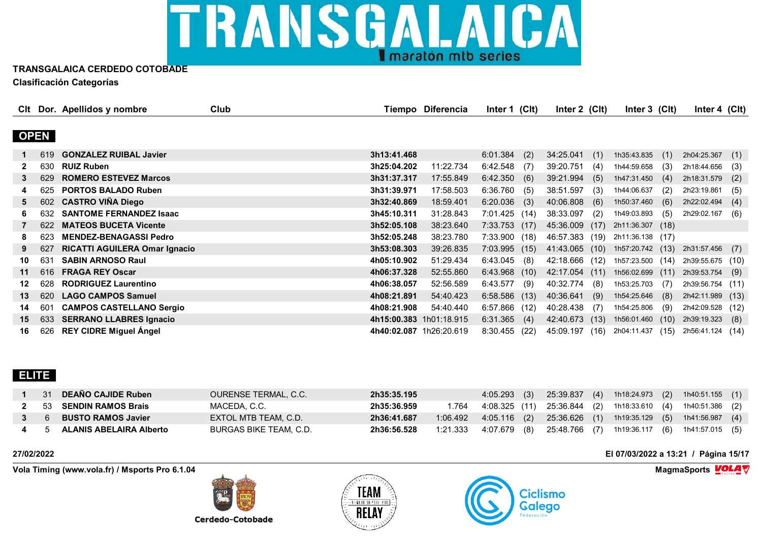

|    |             | CIt Dor. Apellidos y nombre          | Club |                         | Tiempo Diferencia | Inter 1 (CIt)   |      | Inter $2$ (Clt) |      | Inter 3 (CIt)    |      | Inter 4 $(Cl)$   |      |
|----|-------------|--------------------------------------|------|-------------------------|-------------------|-----------------|------|-----------------|------|------------------|------|------------------|------|
|    |             |                                      |      |                         |                   |                 |      |                 |      |                  |      |                  |      |
|    | <b>OPEN</b> |                                      |      |                         |                   |                 |      |                 |      |                  |      |                  |      |
|    | 619         | <b>GONZALEZ RUIBAL Javier</b>        |      | 3h13:41.468             |                   | 6:01.384        | (2)  | 34:25.041       | (1)  | 1h35:43.835      | (1)  | 2h04:25.367      | (1)  |
|    | 630         | <b>RUIZ Ruben</b>                    |      | 3h25:04.202             | 11:22.734         | 6:42.548        | (7)  | 39:20.751       | (4)  | 1h44:59.658      | (3)  | 2h18:44.656      | (3)  |
| 3  | 629         | <b>ROMERO ESTEVEZ Marcos</b>         |      | 3h31:37.317             | 17:55.849         | 6:42.350(6)     |      | 39:21.994       | (5)  | 1h47:31.450      | (4)  | 2h18:31.579      | (2)  |
| 4  | 625         | <b>PORTOS BALADO Ruben</b>           |      | 3h31:39.971             | 17:58.503         | 6:36.760        | (5)  | 38:51.597       | (3)  | 1h44:06.637      | (2)  | 2h23:19.861      | (5)  |
| 5  | 602         | <b>CASTRO VIÑA Diego</b>             |      | 3h32:40.869             | 18:59.401         | $6:20.036$ (3)  |      | 40:06.808       | (6)  | 1h50:37.460      | (6)  | 2h22:02.494      | (4)  |
|    | 632         | <b>SANTOME FERNANDEZ Isaac</b>       |      | 3h45:10.311             | 31:28.843         | 7:01.425 (14)   |      | 38:33.097       | (2)  | 1h49:03.893      | (5)  | 2h29:02.167      | (6)  |
|    | 622.        | <b>MATEOS BUCETA Vicente</b>         |      | 3h52:05.108             | 38:23.640         | $7:33.753$ (17) |      | 45:36.009       | (17) | 2h11:36.307 (18) |      |                  |      |
| 8  | 623         | <b>MENDEZ-BENAGASSI Pedro</b>        |      | 3h52:05.248             | 38:23.780         | 7:33.900(18)    |      | 46:57.383       | (19) | 2h11:36.138 (17) |      |                  |      |
| 9  | 627         | <b>RICATTI AGUILERA Omar Ignacio</b> |      | 3h53:08.303             | 39:26.835         | $7:03.995$ (15) |      | 41:43.065 (10)  |      | 1h57:20.742 (13) |      | 2h31:57.456 (7)  |      |
| 10 | 631         | <b>SABIN ARNOSO Raul</b>             |      | 4h05:10.902             | 51:29.434         | $6:43.045$ (8)  |      | 42:18.666 (12)  |      | 1h57:23.500 (14) |      | 2h39:55.675 (10) |      |
| 11 | 616         | <b>FRAGA REY Oscar</b>               |      | 4h06:37.328             | 52:55.860         | $6:43.968$ (10) |      | 42:17.054       | (11) | 1h56:02.699      | (11) | 2h39:53.754      | (9)  |
| 12 | 628         | <b>RODRIGUEZ Laurentino</b>          |      | 4h06:38.057             | 52:56.589         | 6:43.577        | (9)  | 40:32.774       | (8)  | 1h53:25.703      | (7)  | 2h39:56.754 (11) |      |
| 13 | 620         | <b>LAGO CAMPOS Samuel</b>            |      | 4h08:21.891             | 54:40.423         | $6:58.586$ (13) |      | 40:36.641       | (9)  | 1h54:25.646      | (8)  | 2h42:11.989 (13) |      |
| 14 | 601         | <b>CAMPOS CASTELLANO Sergio</b>      |      | 4h08:21.908             | 54:40.440         | 6:57.866 (12)   |      | 40:28.438       | (7)  | 1h54:25.806      | (9)  | 2h42:09.528 (12) |      |
| 15 | 633         | <b>SERRANO LLABRES Ignacio</b>       |      | 4h15:00.383 1h01:18.915 |                   | $6:31.365$ (4)  |      | 42:40.673       | (13) | 1h56:01.460      | (10) | 2h39:19.323      | (8)  |
| 16 | 626         | <b>REY CIDRE Miguel Angel</b>        |      | 4h40:02.087 1h26:20.619 |                   | 8:30.455        | (22) | 45:09.197       | (16) | 2h04:11.437      | (15) | 2h56:41.124      | (14) |

### **ELITE**

|             | 31 DEAÑO CAJIDE Ruben       | OURENSE TERMAL, C.C.   | 2h35:35.195 |          | $4:05.293$ (3)                                                       | 25:39.837 |  | (4) 1h18:24.973 (2) 1h40:51.155 (1) |  |
|-------------|-----------------------------|------------------------|-------------|----------|----------------------------------------------------------------------|-----------|--|-------------------------------------|--|
|             | 53 SENDIN RAMOS Brais       | MACEDA. C.C.           | 2h35:36.959 | 1.764    | 4:08.325 (11)  25:36.844   (2)  1h18:33.610   (4)  1h40:51.386   (2) |           |  |                                     |  |
| $3 \quad 6$ | <b>BUSTO RAMOS Javier</b>   | EXTOL MTB TEAM, C.D.   | 2h36:41.687 | 1:06.492 | 4:05.116 (2) 25:36.626 (1) 1h19:35.129 (5) 1h41:56.987 (4)           |           |  |                                     |  |
|             | 4 5 ALANIS ABELAIRA Alberto | BURGAS BIKE TEAM. C.D. | 2h36:56.528 | 1:21.333 | 4:07.679 (8) 25:48.766 (7) 1h19:36.117 (6) 1h41:57.015 (5)           |           |  |                                     |  |

**Vola Timing (www.vola.fr) / Msports Pro 6.1.04 MagmaSports MagmaSports MagmaSports MagmaSports MagmaSports** 

**Cerdedo-Cotobade** 





**27/02/2022 El 07/03/2022 a 13:21 / Página 15/17**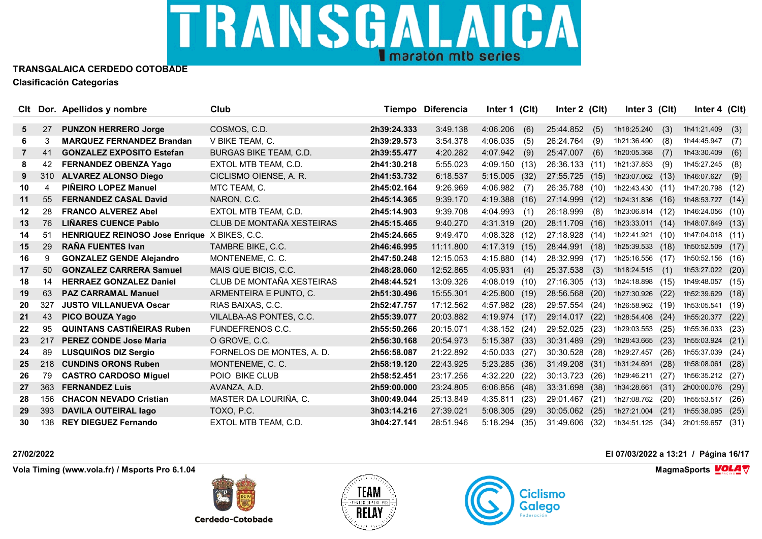

|         |     | CIt Dor. Apellidos y nombre           | Club                          |             | <b>Tiempo Diferencia</b> | Inter 1 (Clt)    | Inter 2 (Clt) |      | Inter 3 (Clt)    |      | Inter 4 (Clt)    |      |
|---------|-----|---------------------------------------|-------------------------------|-------------|--------------------------|------------------|---------------|------|------------------|------|------------------|------|
|         |     |                                       |                               |             |                          |                  |               |      |                  |      |                  |      |
| 5.      | 27  | <b>PUNZON HERRERO Jorge</b>           | COSMOS, C.D.                  | 2h39:24.333 | 3:49.138                 | 4:06.206<br>(6)  | 25:44.852     | (5)  | 1h18:25.240      | (3)  | 1h41:21.409      | (3)  |
| 6.      | 3   | <b>MARQUEZ FERNANDEZ Brandan</b>      | V BIKE TEAM, C.               | 2h39:29.573 | 3:54.378                 | 4:06.035<br>(5)  | 26:24.764     | (9)  | 1h21:36.490      | (8)  | 1h44:45.947      | (7)  |
| 7       | 41  | <b>GONZALEZ EXPOSITO Estefan</b>      | <b>BURGAS BIKE TEAM, C.D.</b> | 2h39:55.477 | 4:20.282                 | 4:07.942<br>(9)  | 25:47.007     | (6)  | 1h20:05.368      | (7)  | 1h43:30.409      | (6)  |
| 8       | 42  | <b>FERNANDEZ OBENZA Yago</b>          | EXTOL MTB TEAM, C.D.          | 2h41:30.218 | 5:55.023                 | 4:09.150 (13)    | 26:36.133     | (11) | 1h21:37.853      | (9)  | 1h45:27.245      | (8)  |
| 9       | 310 | <b>ALVAREZ ALONSO Diego</b>           | CICLISMO OIENSE, A. R.        | 2h41:53.732 | 6:18.537                 | $5:15.005$ (32)  | 27:55.725     | (15) | 1h23:07.062 (13) |      | 1h46:07.627      | (9)  |
| 10      | 4   | PIÑEIRO LOPEZ Manuel                  | MTC TEAM, C.                  | 2h45:02.164 | 9:26.969                 | 4:06.982<br>(7)  | 26:35.788     | (10) | 1h22:43.430      | (11) | 1h47:20.798 (12) |      |
| 11      | 55  | <b>FERNANDEZ CASAL David</b>          | NARON, C.C.                   | 2h45:14.365 | 9:39.170                 | 4:19.388 (16)    | 27:14.999     | (12) | 1h24:31.836      | (16) | 1h48:53.727      | (14) |
| $12 \,$ | 28  | <b>FRANCO ALVEREZ Abel</b>            | EXTOL MTB TEAM, C.D.          | 2h45:14.903 | 9:39.708                 | 4:04.993<br>(1)  | 26:18.999     | (8)  | 1h23:06.814 (12) |      | 1h46:24.056 (10) |      |
| 13      | 76  | <b>LIÑARES CUENCE Pablo</b>           | CLUB DE MONTAÑA XESTEIRAS     | 2h45:15.465 | 9:40.270                 | 4:31.319<br>(20) | 28:11.709     | (16) | 1h23:33.011 (14) |      | 1h48:07.649      | (13) |
| 14      | 51  | <b>HENRIQUEZ REINOSO Jose Enrique</b> | X BIKES, C.C.                 | 2h45:24.665 | 9:49.470                 | 4:08.328 (12)    | 27:18.928     | (14) | 1h22:41.921      | (10) | 1h47:04.018 (11) |      |
| 15      | 29  | <b>RAÑA FUENTES Ivan</b>              | TAMBRE BIKE, C.C.             | 2h46:46.995 | 11:11.800                | 4:17.319 (15)    | 28:44.991     | (18) | 1h25:39.533      | (18) | 1h50:52.509      | (17) |
| 16      | 9   | <b>GONZALEZ GENDE Alejandro</b>       | MONTENEME, C. C.              | 2h47:50.248 | 12:15.053                | 4:15.880 (14)    | 28:32.999     | (17) | 1h25:16.556      | (17) | 1h50:52.156      | (16) |
| 17      | 50  | <b>GONZALEZ CARRERA Samuel</b>        | MAIS QUE BICIS, C.C.          | 2h48:28.060 | 12:52.865                | 4:05.931<br>(4)  | 25:37.538     | (3)  | 1h18:24.515      | (1)  | 1h53:27.022      | (20) |
| 18      | 14  | <b>HERRAEZ GONZALEZ Daniel</b>        | CLUB DE MONTAÑA XESTEIRAS     | 2h48:44.521 | 13:09.326                | 4:08.019 (10)    | 27:16.305     | (13) | 1h24:18.898      | (15) | 1h49:48.057      | (15) |
| 19      | 63  | <b>PAZ CARRAMAL Manuel</b>            | ARMENTEIRA E PUNTO, C.        | 2h51:30.496 | 15:55.301                | 4:25.800 (19)    | 28:56.568     | (20) | 1h27:30.926      | (22) | 1h52:39.629      | (18) |
| 20      | 327 | <b>JUSTO VILLANUEVA Oscar</b>         | RIAS BAIXAS, C.C.             | 2h52:47.757 | 17:12.562                | 4:57.982 (28)    | 29:57.554     | (24) | 1h26:58.962 (19) |      | 1h53:05.541      | (19) |
| 21      | 43  | PICO BOUZA Yago                       | VILALBA-AS PONTES, C.C.       | 2h55:39.077 | 20:03.882                | 4:19.974 (17)    | 29:14.017     | (22) | 1h28:54.408      | (24) | 1h55:20.377      | (22) |
| 22      | 95  | <b>QUINTANS CASTIÑEIRAS Ruben</b>     | <b>FUNDEFRENOS C.C.</b>       | 2h55:50.266 | 20:15.071                | 4:38.152 (24)    | 29:52.025     | (23) | 1h29:03.553      | (25) | 1h55:36.033      | (23) |
| 23      | 217 | <b>PEREZ CONDE Jose Maria</b>         | O GROVE, C.C.                 | 2h56:30.168 | 20:54.973                | 5:15.387<br>(33) | 30:31.489     | (29) | 1h28:43.665      | (23) | 1h55:03.924      | (21) |
| 24      | 89  | LUSQUIÑOS DIZ Sergio                  | FORNELOS DE MONTES, A. D.     | 2h56:58.087 | 21:22.892                | 4:50.033<br>(27) | 30:30.528     | (28) | 1h29:27.457      | (26) | 1h55:37.039      | (24) |
| 25      | 218 | <b>CUNDINS ORONS Ruben</b>            | MONTENEME, C. C.              | 2h58:19.120 | 22:43.925                | 5:23.285<br>(36) | 31:49.208     | (31) | 1h31:24.691      | (28) | 1h58:08.061      | (28) |
| 26      | 79  | <b>CASTRO CARDOSO Miguel</b>          | POIO BIKE CLUB                | 2h58:52.451 | 23:17.256                | 4:32.220<br>(22) | 30:13.723     | (26) | 1h29:46.211      | (27) | 1h56:35.212      | (27) |
| 27      | 363 | <b>FERNANDEZ Luis</b>                 | AVANZA, A.D.                  | 2h59:00.000 | 23:24.805                | 6:06.856<br>(48) | 33:31.698     | (38) | 1h34:28.661      | (31) | 2h00:00.076      | (29) |
| 28      | 156 | <b>CHACON NEVADO Cristian</b>         | MASTER DA LOURIÑA, C.         | 3h00:49.044 | 25:13.849                | 4:35.811<br>(23) | 29:01.467     | (21) | 1h27:08.762      | (20) | 1h55:53.517      | (26) |
| 29      | 393 | <b>DAVILA OUTEIRAL lago</b>           | TOXO, P.C.                    | 3h03:14.216 | 27:39.021                | 5:08.305<br>(29) | 30:05.062     | (25) | 1h27:21.004      | (21) | 1h55:38.095      | (25) |
| 30      | 138 | <b>REY DIEGUEZ Fernando</b>           | EXTOL MTB TEAM, C.D.          | 3h04:27.141 | 28:51.946                | 5:18.294<br>(35) | 31:49.606     | (32) | 1h34:51.125      | (34) | 2h01:59.657      | (31) |

**Vola Timing (www.vola.fr) / Msports Pro 6.1.04 MagmaSports MagmaSports MagmaSports MagmaSports MagmaSports** 

**Cerdedo-Cotobade**